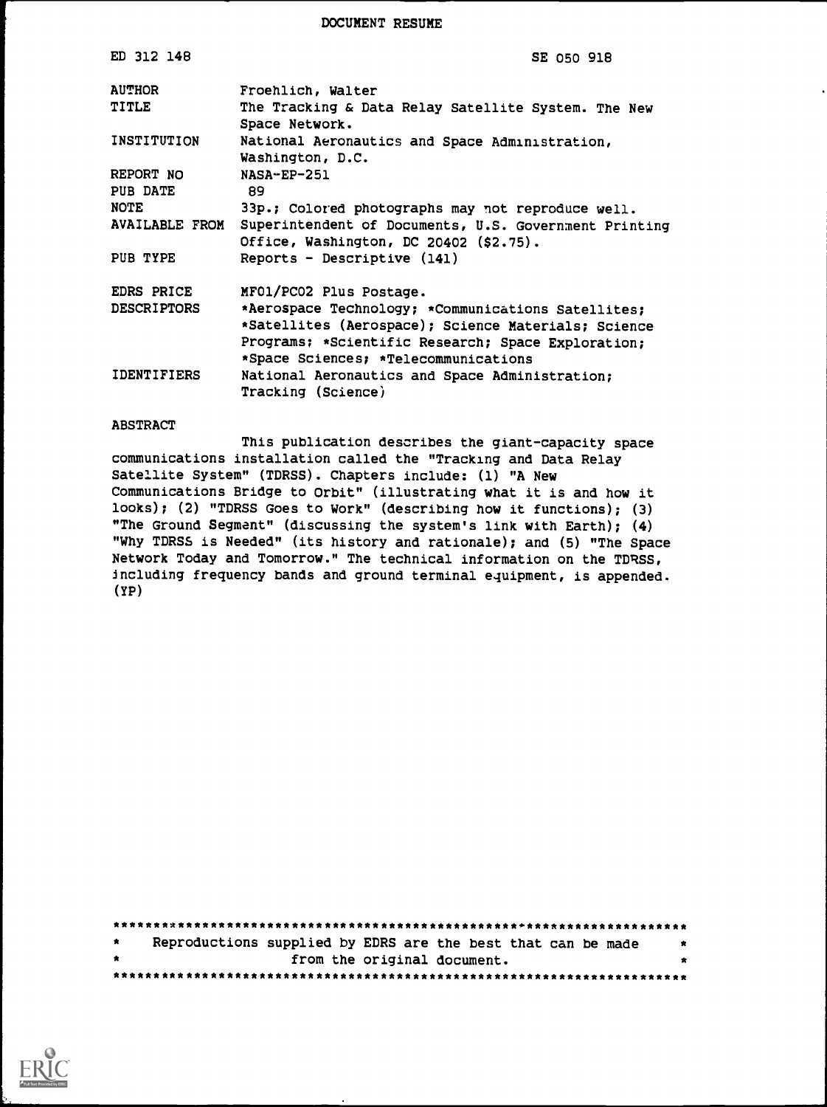DOCUMENT RESUME

| SE 050 918                                                                                                               |
|--------------------------------------------------------------------------------------------------------------------------|
| Froehlich, Walter                                                                                                        |
| The Tracking & Data Relay Satellite System. The New<br>Space Network.                                                    |
| National Aeronautics and Space Administration,<br>Washington, D.C.                                                       |
| NASA-EP-251                                                                                                              |
| 89                                                                                                                       |
| 33p.; Colored photographs may not reproduce well.                                                                        |
| <b>AVAILABLE FROM</b><br>Superintendent of Documents, U.S. Government Printing<br>Office, Washington, DC 20402 (\$2.75). |
| Reports - Descriptive $(141)$                                                                                            |
| MFO1/PC02 Plus Postage.                                                                                                  |
| *Aerospace Technology; *Communications Satellites;                                                                       |
| *Satellites (Aerospace); Science Materials; Science                                                                      |
| Programs; *Scientific Research; Space Exploration;<br>*Space Sciences; *Telecommunications                               |
| National Aeronautics and Space Administration;<br>Tracking (Science)                                                     |
|                                                                                                                          |

#### ABSTRACT

This publication describes the giant-capacity space communications installation called the "Tracking and Data Relay Satellite System" (TDRSS). Chapters include: (1) "A New Communications Bridge to Orbit" (illustrating what it is and how it looks); (2) "TDRSS Goes to Work" (describing how it functions); (3) "The Ground Segment" (discussing the system's link with Earth); (4) "Why TDRSS is Needed" (its history and rationale); and (5) "The Space Network Today and Tomorrow." The technical information on the TDRSS, including frequency bands and ground terminal equipment, is appended. (YP)

| $\star$ |  |  |  | Reproductions supplied by EDRS are the best that can be made | $\ddot{\mathbf{x}}$ |  |
|---------|--|--|--|--------------------------------------------------------------|---------------------|--|
| $\star$ |  |  |  | from the original document.                                  |                     |  |
|         |  |  |  |                                                              |                     |  |

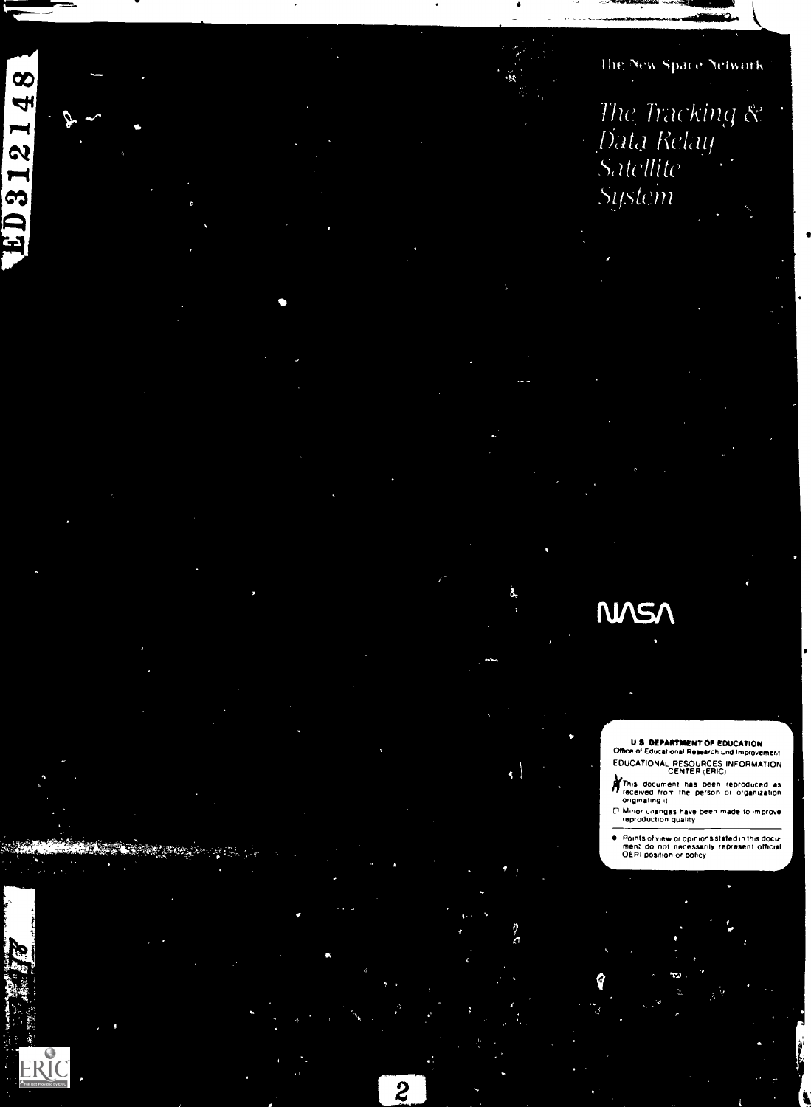# $\infty$  $\sqrt{14}$  $\frac{1}{2}$  $\mathbf{C}$

**RACK MARKER WALL** 

ERĬo

 $\overline{2}$ 

## The New Space Network

*The Tracking &*<br>*Data Relay*<br>Satellite System

**NUSY** 

U S DEPARTMENT OF EDUCATION<br>Office of Educational Research and Improvement<br>EDUCATIONAL RESOURCES INFORMATION<br>LA CENTER (ERIC) This document has been reproduced as<br>received from the person or organization<br>originating it E Minor changes have been made to improve<br>reproduction quality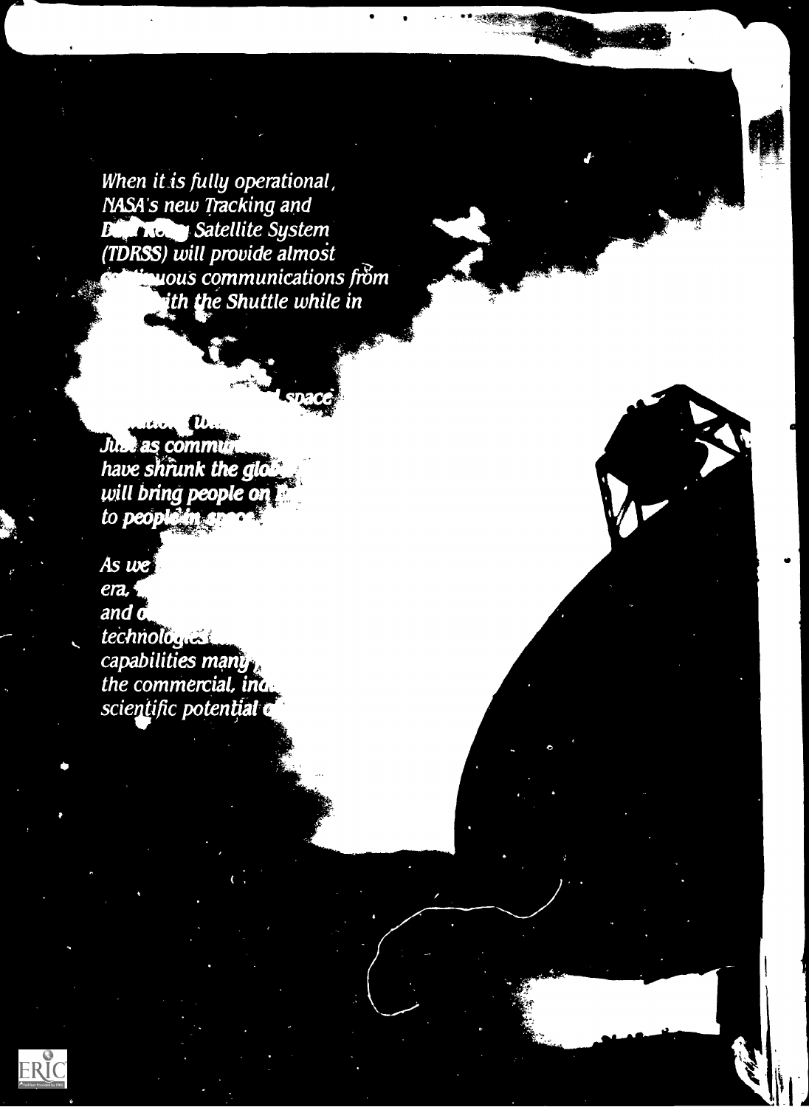When it is fully operational, NASA's new Tracking and *E*<br>
The Satellite System<br>
(TDRSS) will provide almost<br> **CONTROLLY SETTEM**<br>
THE REAL PROPERTY OF THE REAL PROPERTY ith the Shuttle while in

Ju., as commun.<br>have shrunk the glo will bring people on to people

As we  $era, 1$ and  $\boldsymbol{d}$ technological<br>capabilities many<br>the commercial, inc scientific potențiat

ERIC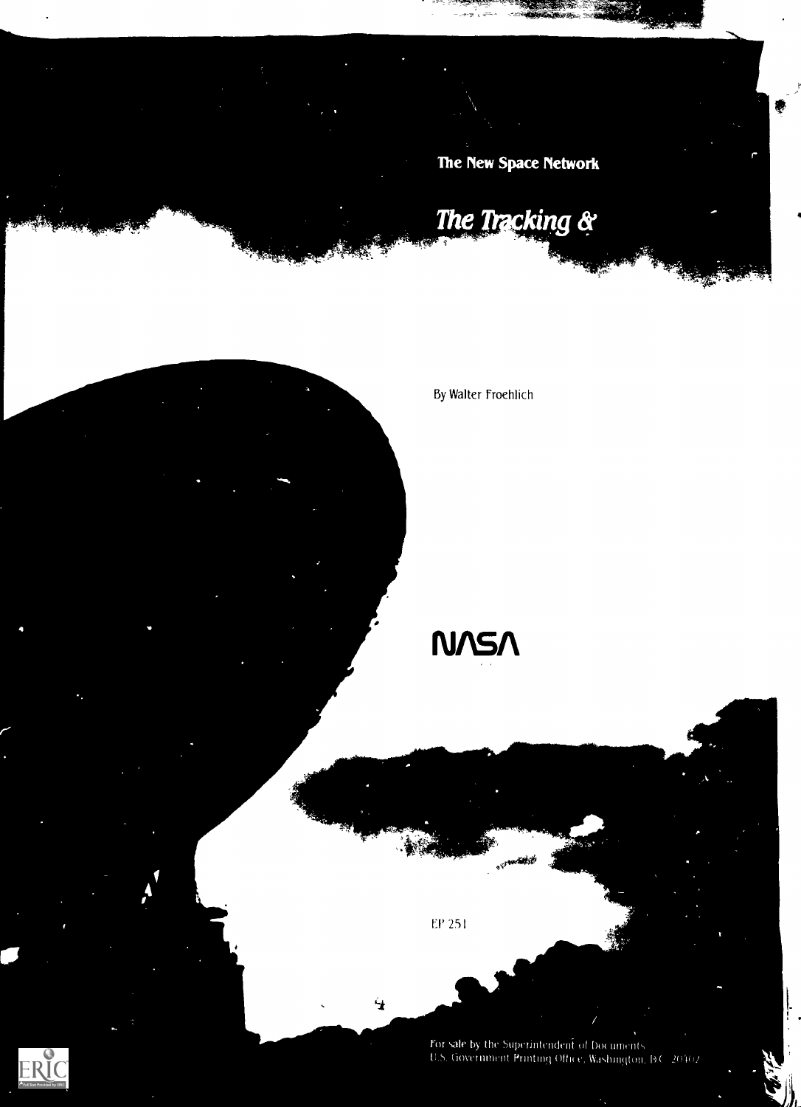#### The New Space Network

## The Tracking &

#### By Walter Froehlich



EP 251

 $\mathbf{\dot{z}}$ 

For sale by the Superintendent of Documents<br>U.S. Government Printing Office, Washington, D.C. 20102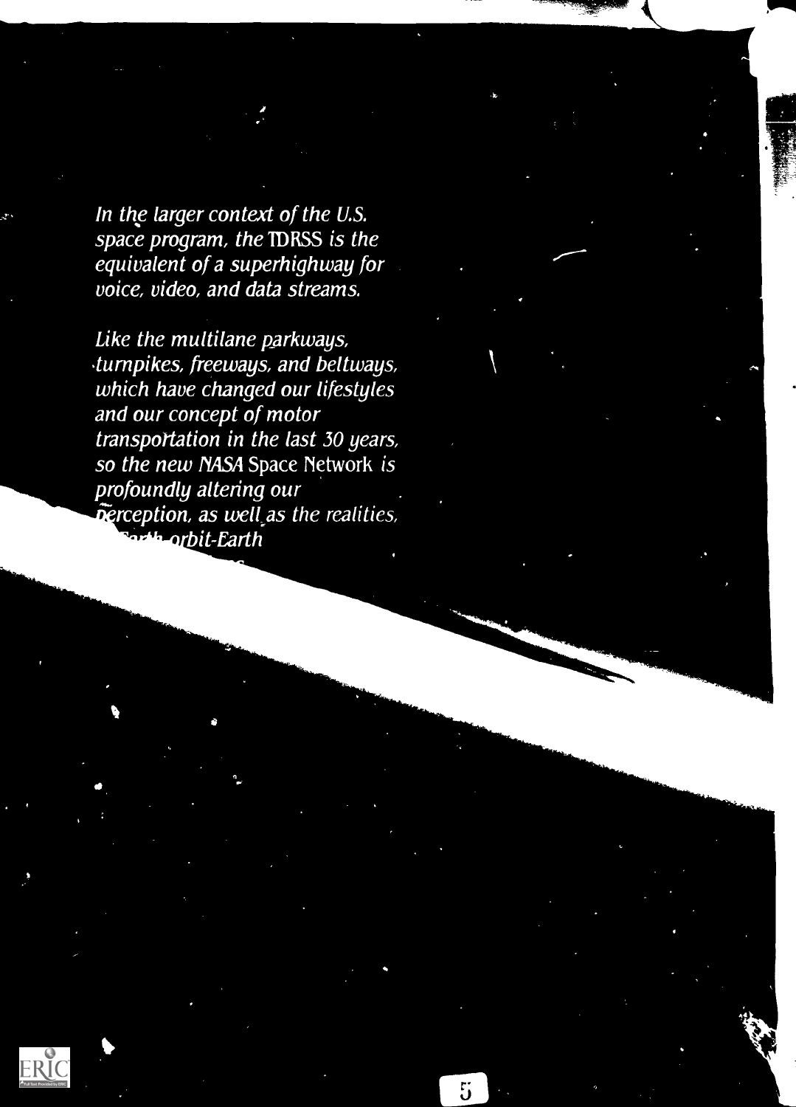In the larger context of the U.S. space program, the TDRSS is the equivalent of a superhighway for voice, video, and data streams.

Like the multilane parkways, turnpikes, freeways, and beltways, which have changed our lifestyles and our concept of motor transportation in the last 30 years, so the new NASA Space Network is profoundly altering our  $\overline{\tilde{c}}$  reption, as well as the realities, bit-Earth





rent de la propincia de la propincia de la propincia de la propincia de la propincia de la propincia de la propincia de la propincia de la propincia de la propincia de la propincia de la propincia de la propincia de la pro

44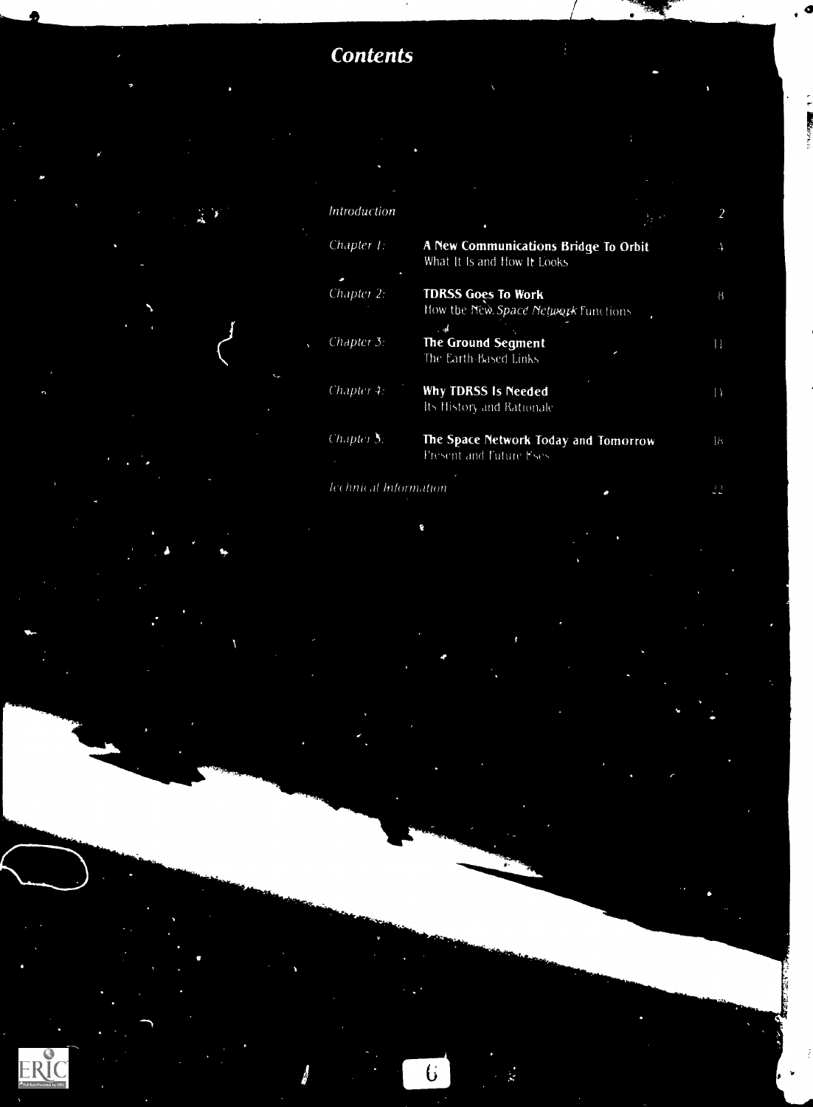### **Contents**

Introduction Chapter 1: × Chapter 2: Chapter 3:

ERIC

Chapter 4:

Chapter 5:

A New Communications Bridge To Orbit What It Is and How It Looks TDRSS Goes To Work<br>How the New Space Network functions

 $\mathbf{L}$ **The Ground Segment** The Earth-Based Links **Why TDRSS Is Needed**<br>Its History and Rationale

The Space Network Today and Tomorrow Present and Euture Eses

Icchnical Information

 $\overline{2}$ 

4

6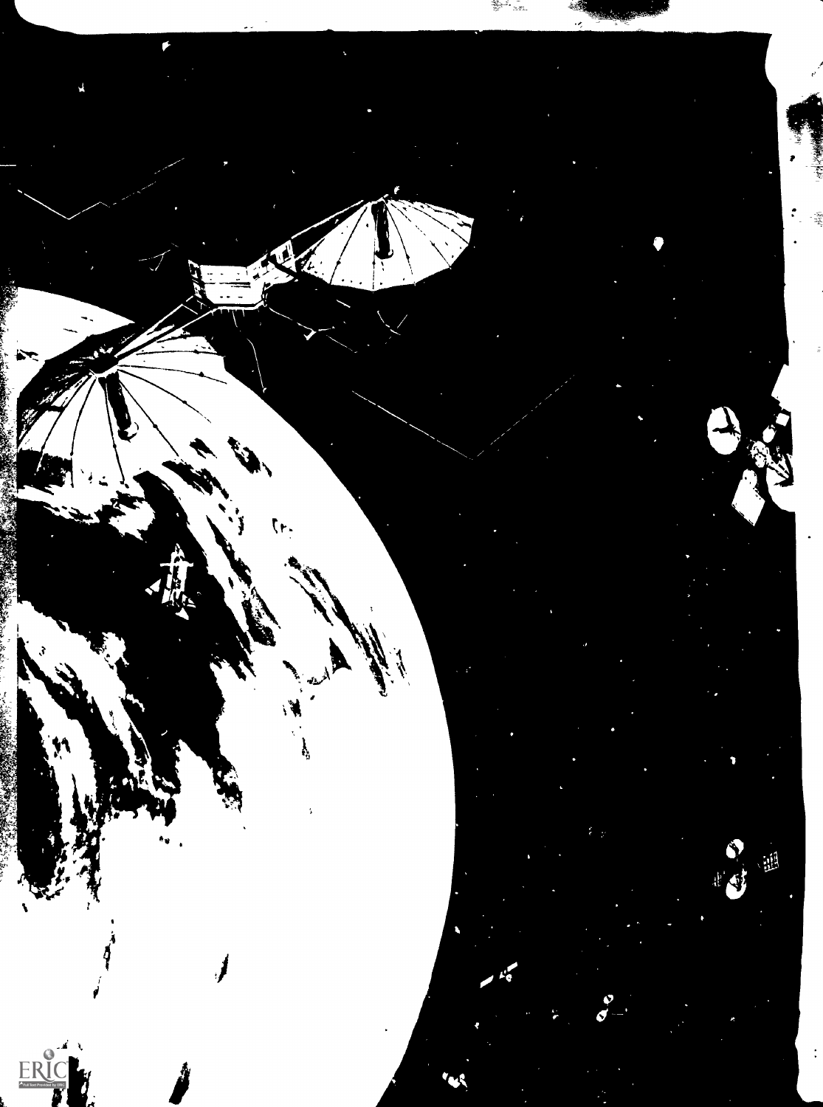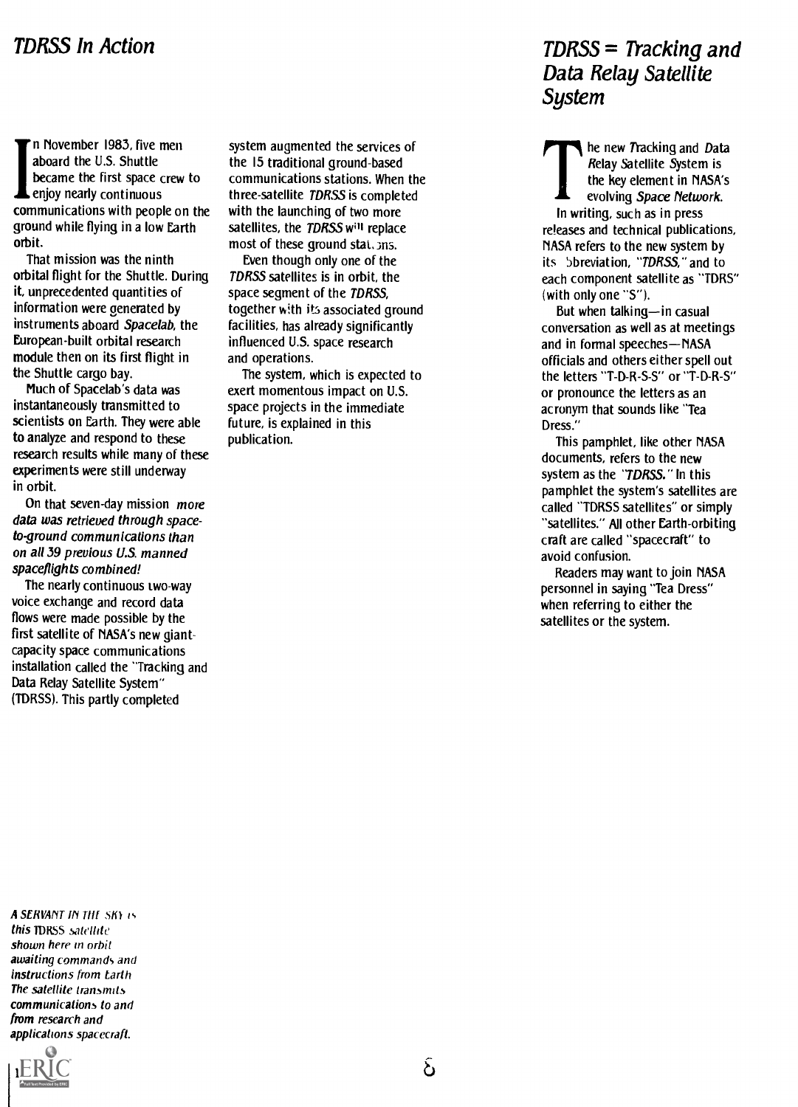#### TDRSS In Action

'n November 1983, five men aboard the U.S. Shuttle became the first space crew to enjoy nearly continuous communications with people on the ground while flying in a low Earth orbit.

That mission was the ninth orbital flight for the Shuttle. During it, unprecedented quantities of information were generated by instruments aboard Spacelab, the European-built orbital research module then on its first flight in the Shuttle cargo bay.

Much of Spacelab's data was instantaneously transmitted to scientists on Earth. They were able to analyze and respond to these research results while many of these experiments were still underway in orbit.

On that seven-day mission more data was retrieved through spaceto-ground communications than on all 39 previous U.S. manned spaceflights combined!

The nearly continuous two-way voice exchange and record data flows were made possible by the first satellite of NASA's new giantcapacity space communications installation called the "Tracking and Data Relay Satellite System" (TDRSS). This partly completed

system augmented the services of the 15 traditional ground-based communications stations. When the three-satellite TDRSS is completed with the launching of two more satellites, the TDRSS will replace most of these ground stat. ons.

Even though only one of the TDRSS satellites is in orbit, the space segment of the TDRSS, together with its associated ground facilities, has already significantly influenced U.S. space research and operations.

The system, which is expected to exert momentous impact on U.S. space projects in the immediate future, is explained in this publication.

#### TDRSS = Tracking and Data Relay Satellite **System**

he new Tracking and Data Relay Satellite System is the key element in NASA's evolving Space Network. In writing, such as in press releases and technical publications, NASA refers to the new system by its 5breviation, "TDRSS," and to each component satellite as "TDRS" (with only one "S").

But when talking-in casual conversation as well as at meetings and in formal speeches-NASA officials and others either spell out the letters "T-D-R-S-S" or "T-D-R-S" or pronounce the letters as an acronym that sounds like "Tea Dress."

This pamphlet, like other NASA documents, refers to the new system as the "TDRSS." In this pamphlet the system's satellites are called "TDRSS satellites" or simply "satellites." All other Earth-orbiting craft are called "spacecraft" to avoid confusion.

Readers may want to join NASA personnel in saying "Tea Dress" when referring to either the satellites or the system.

A SERVANT IN THE SKY is this *TDRSS* satellite shown here in orbit awaiting commands and instructions from Earth The satellite transmits communications to and from research and applications spacecraft.

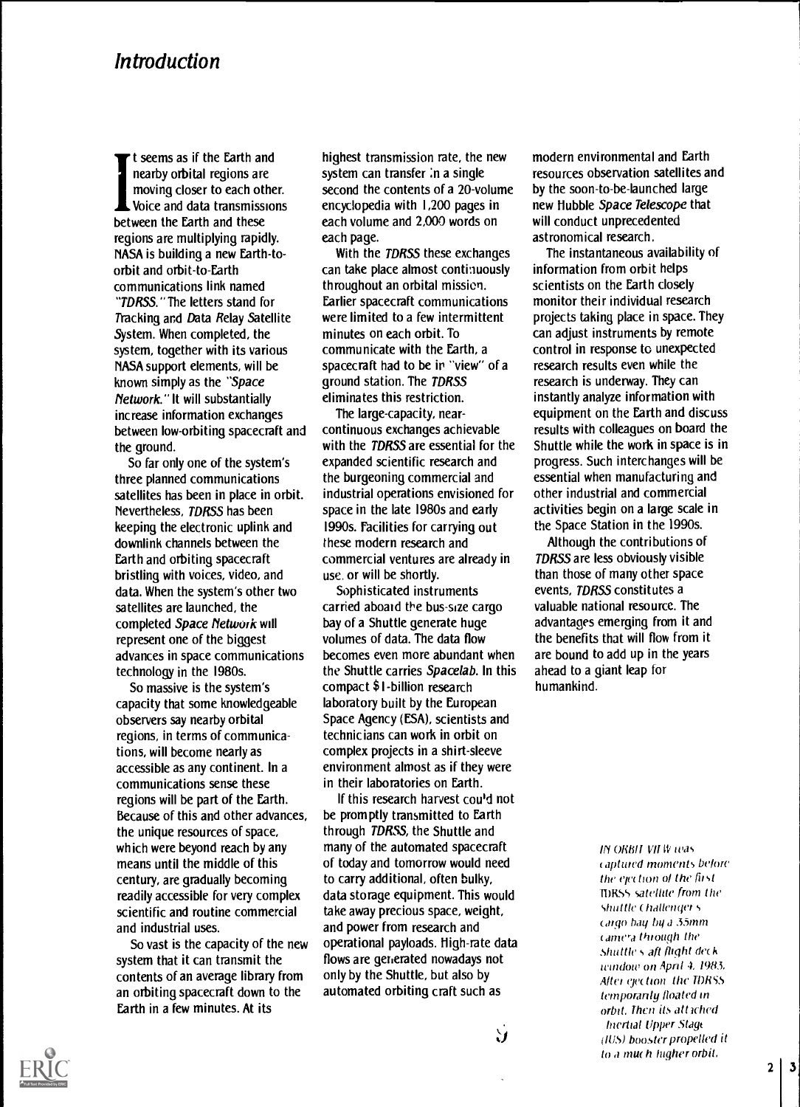t seems as if the Earth and nearby orbital regions are moving closer to each other. Voice and data transmissions between the Earth and these regions are multiplying rapidly. NASA is building a new Earth-toorbit and orbit-to-Earth communications link named "TDRSS." The letters stand for Tracking and Data Relay Satellite System. When completed, the system, together with its various NASA support elements, will be known simply as the "Space Network." It will substantially increase information exchanges between low-orbiting spacecraft and the ground.

So far only one of the system's three planned communications satellites has been in place in orbit. Nevertheless, TDRSS has been keeping the electronic uplink and downlink channels between the Earth and orbiting spacecraft bristling with voices, video, and data. When the system's other two satellites are launched, the completed Space Network will represent one of the biggest advances in space communications technology in the 1980s.

So massive is the system's capacity that some knowledgeable observers say nearby orbital regions, in terms of communications, will become nearly as accessible as any continent. In a communications sense these regions will be part of the Earth. Because of this and other advances, the unique resources of space, which were beyond reach by any means until the middle of this century, are gradually becoming readily accessible for very complex scientific and routine commercial and industrial uses.

So vast is the capacity of the new system that it can transmit the contents of an average library from an orbiting spacecraft down to the Earth in a few minutes. At its

highest transmission rate, the new system can transfer in a single second the contents of a 20-volume encyclopedia with 1,200 pages in each volume and 2,000 words on each page.

With the TDRSS these exchanges can take place almost continuously throughout an orbital mission. Earlier spacecraft communications were limited to a few intermittent minutes on each orbit. To communicate with the Earth, a spacecraft had to be ip "view" of a ground station. The TDRSS eliminates this restriction.

The large-capacity, nearcontinuous exchanges achievable with the TDRSS are essential for the expanded scientific research and the burgeoning commercial and industrial operations envisioned for space in the late 1980s and early 1990s. Facilities for carrying out these modern research and commercial ventures are already in use. or will be shortly.

Sophisticated instruments carried aboard the bus-size cargo bay of a Shuttle generate huge volumes of data. The data flow becomes even more abundant when the Shuttle carries Spacelab. In this compact \$1-billion research laboratory built by the European Space Agency (ESA), scientists and technicians can work in orbit on complex projects in a shirt-sleeve environment almost as if they were in their laboratories on Earth.

If this research harvest cou'd not be promptly transmitted to Earth through TDRSS, the Shuttle and many of the automated spacecraft of today and tomorrow would need to carry additional, often bulky, data storage equipment. This would take away precious space, weight, and power from research and operational payloads. High-rate data flows are generated nowadays not only by the Shuttle, but also by automated orbiting craft such as

modern environmental and Earth resources observation satellites and by the soon-to-be-launched large new Hubble Space Telescope that will conduct unprecedented astronomical research.

The instantaneous availability of information from orbit helps scientists on the Earth closely monitor their individual research projects taking place in space. They can adjust instruments by remote control in response to unexpected research results even while the research is underway. They can instantly analyze information with equipment on the Earth and discuss results with colleagues on board the Shuttle while the work in space is in progress. Such interchanges will be essential when manufacturing and other industrial and commercial activities begin on a large scale in the Space Station in the 1990s.

Although the contributions of TDRSS are less obviously visible than those of many other space events, TDRSS constitutes a valuable national resource. The advantages emerging from it and the benefits that will flow from it are bound to add up in the years ahead to a giant leap for humankind.

> IN ORBIT Vii IV was (aptiiied moments before the ejection of the first MKS', satellite from the shuttle ( hallengei s (argo bay by a 35mm camera through the .Shuttle s alt flight de( k window on April 4, 1983. After ejection the TDRSS temporanly floated in orbit. Then its attiched Inertial tipper Stag< i 'IN booster propelled it to a mu( h higher orbit.

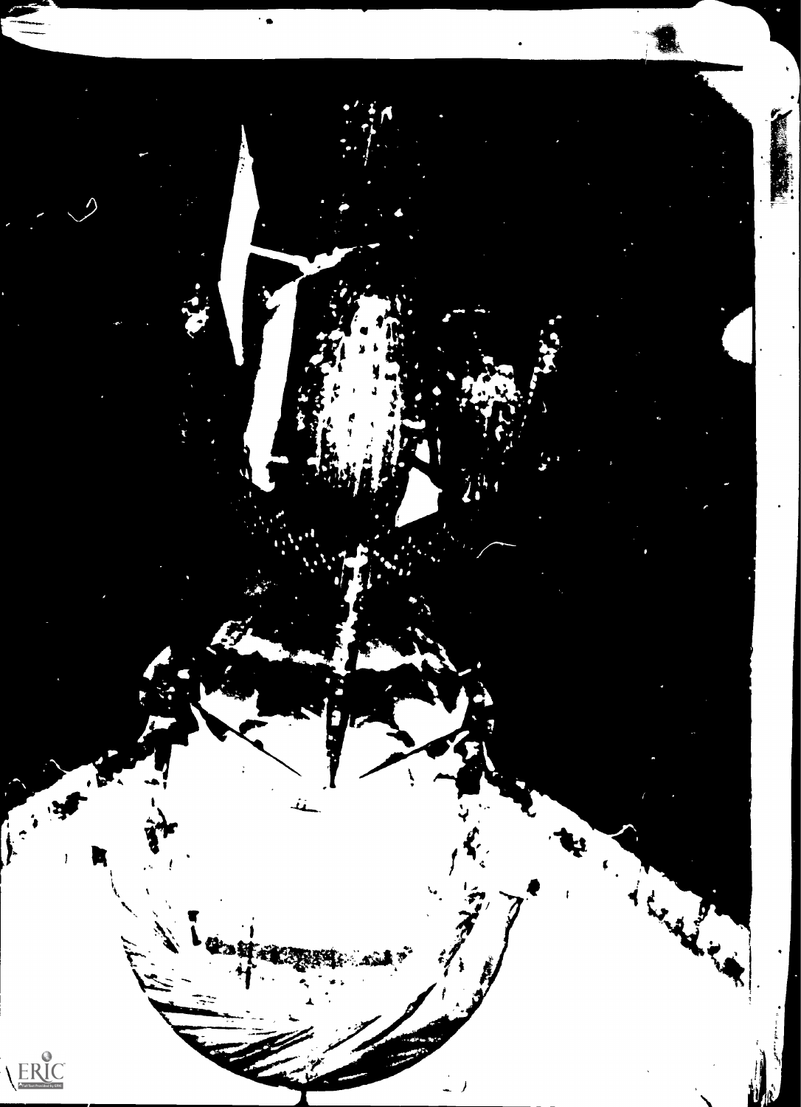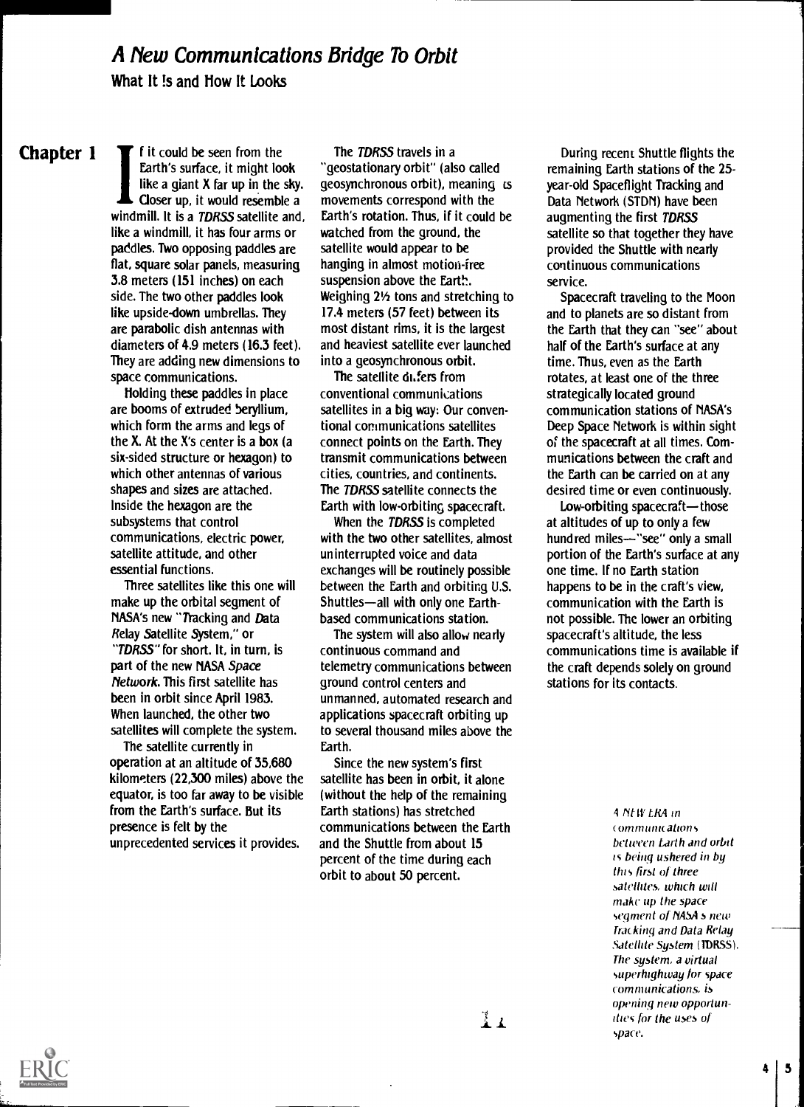#### A New Communications Bridge To Orbit

What It is and How It Looks

#### Chapter 1

If it could be seen from the Earth's surface, it might look like a giant X far up in the sky. Closer up, it would resemble a windmill. It is a TDRSS satellite and, like a windmill, it has four arms or paddles. Two opposing paddles are flat, square solar panels, measuring 3.8 meters (151 inches) on each side. The two other paddles look like upside-down umbrellas. They are parabolic dish antennas with diameters of 4.9 meters (16.3 feet). They are adding new dimensions to space communications.

Holding these paddles in place are booms of extruded beryllium, which form the arms and legs of the X. At the X's center is a box (a six-sided structure or hexagon) to which other antennas of various shapes and sizes are attached. Inside the hexagon are the subsystems that control communications, electric power, satellite attitude, and other essential functions.

Three satellites like this one will make up the orbital segment of NASA's new "Tracking and Data Relay Satellite System," or "TDRSS" for short. It, in turn, is part of the new NASA Space Network. This first satellite has been in orbit since April 1983. When launched, the other two satellites will complete the system.

The satellite currently in operation at an altitude of 35,680 kilometers (22,300 miles) above the equator, is too far away to be visible from the Earth's surface. But its presence is felt by the unprecedented services it provides.

The TDRSS travels in a "geostationary orbit" (also called geosynchronous orbit), meaning is movements correspond with the Earth's rotation. Thus, if it could be watched from the ground, the satellite would appear to be hanging in almost motion-free suspension above the Earth. Weighing 2<sup>1</sup>/<sub>2</sub> tons and stretching to 17.4 meters (57 feet) between its most distant rims, it is the largest and heaviest satellite ever launched into a geosynchronous orbit.

The satellite di.fers from conventional communications satellites in a big way: Our conventional communications satellites connect points on the Earth. They transmit communications between cities, countries, and continents. The TDRSS satellite connects the Earth with low-orbiting spacecraft.

When the TDRSS is completed with the two other satellites, almost uninterrupted voice and data exchanges will be routinely possible between the Earth and orbiting U.S. Shuttles-all with only one Earthbased communications station.

The system will also allow nearly continuous command and telemetry communications between ground control centers and unmanned, automated research and applications spacecraft orbiting up to several thousand miles above the Earth.

Since the new system's first satellite has been in orbit, it alone (without the help of the remaining Earth stations) has stretched communications between the Earth and the Shuttle from about 15 percent of the time during each orbit to about 50 percent.

During recent Shuttle flights the remaining Earth stations of the 25 year -old Spaceflight Tracking and Data Network (STDN) have been augmenting the first TDRSS satellite so that together they have provided the Shuttle with nearly continuous communications service.

Spacecraft traveling to the Moon and to planets are so distant from the Earth that they can "see" about half of the Earth's surface at any time. Thus, even as the Earth rotates, at least one of the three strategically located ground communication stations of NASA's Deep Space Network is within sight of the spacecraft at all times. Communications between the craft and the Earth can be carried on at any desired time or even continuously.

Low-orbiting spacecraft-those at altitudes of up to only a few hundred miles-"see" only a small portion of the Earth's surface at any one time. If no Earth station happens to be in the craft's view, communication with the Earth is not possible. The lower an orbiting spacecraft's altitude, the less communications time is available if the craft depends solely on ground stations for its contacts.

> 4 NEW ERA in communications between Larth and orbit is being ushered in by this first of three satellites, which will make up the space segment of NASA s new Tracking and Data Relay Satellite System (1DRSS). The system, a virtual superhighway for space communications, is opening new opportunities for the uses of space.

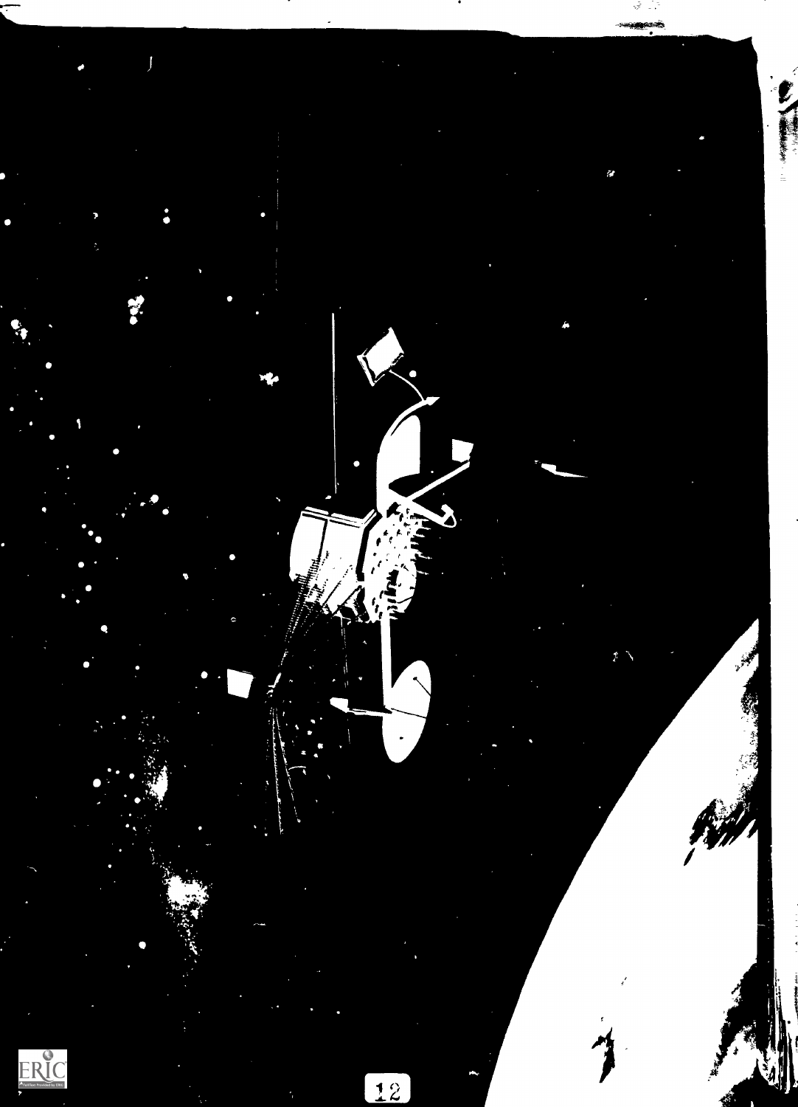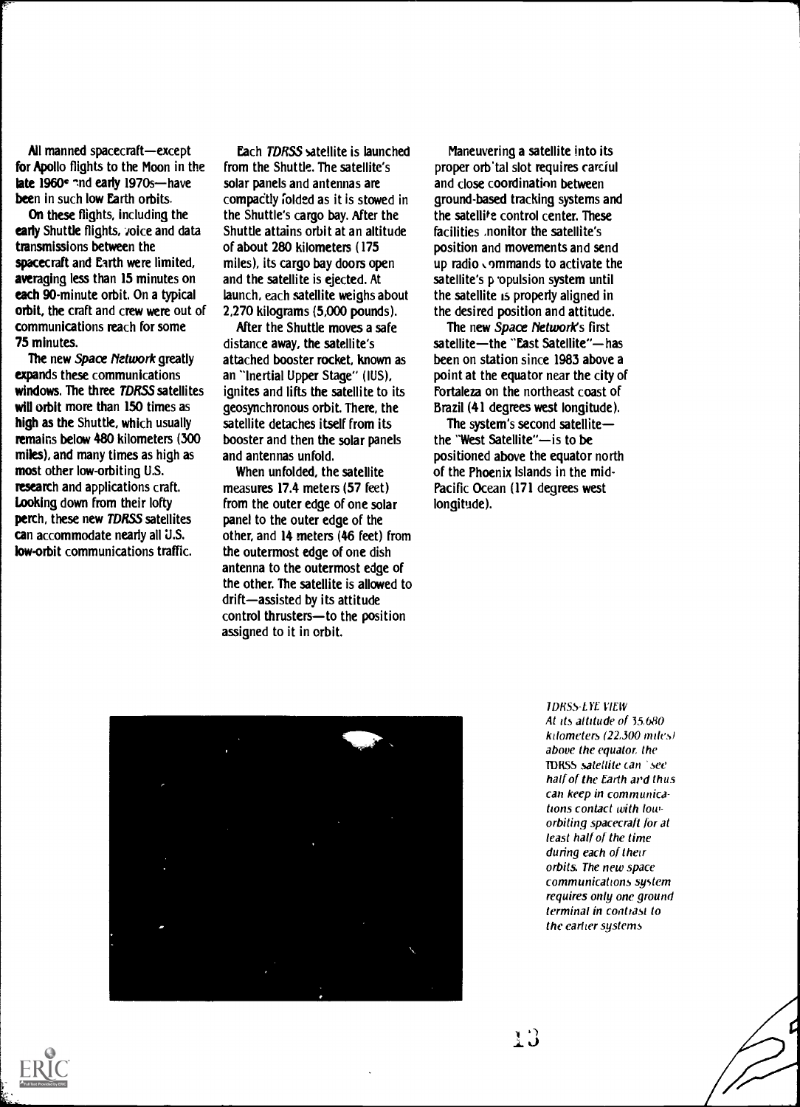All manned spacecraft-except for Apollo flights to the Moon in the late 1960s and early 1970s-have been in such low Earth orbits.

On these flights, including the early Shuttle flights, voice and data transmissions between the spacecraft and Earth were limited, averaging less than 15 minutes on each 90-minute orbit. On a typical orbit, the craft and crew were out of communications reach for some 75 minutes.

The new Space Network greatly expands these communications windows. The three TDRSS satellites will orbit more than 150 times as high as the Shuttle, which usually remains below 480 kilometers (300 miles), and many times as high as most other low-orbiting U.S. research and applications craft. Looking down from their lofty perch, these new TDRSS satellites can accommodate nearly all U.S. low-orbit communications traffic.

Each TDRSS satellite is launched from the Shuttle. The satellite's solar panels and antennas are compactly folded as it is stowed in the Shuttle's cargo bay. After the Shuttle attains orbit at an altitude of about 280 kilometers (175 miles), its cargo bay doors open and the satellite is ejected. At launch, each satellite weighs about 2,270 kilograms (5,000 pounds).

After the Shuttle moves a safe distance away, the satellite's attached booster rocket, known as an "Inertial Upper Stage" (IUS), ignites and lifts the satellite to its geosynchronous orbit. There, the satellite detaches itself from its booster and then the solar panels and antennas unfold.

When unfolded, the satellite measures 17.4 meters (57 feet) from the outer edge of one solar panel to the outer edge of the other, and 14 meters (46 feet) from the outermost edge of one dish antenna to the outermost edge of the other. The satellite is allowed to drift-assisted by its attitude control thrusters-to the position assigned to it in orbit.

Maneuvering a satellite into its proper orb'tal slot requires carcíul and close coordination between ground-based tracking systems and the satellite control center. These facilities ,nonitor the satellite's position and movements and send up radio  $\sqrt{2}$  ommands to activate the satellite's p opulsion system until the satellite is properly aligned in the desired position and attitude.

The new Space Network's first satellite-the "East Satellite"-has been on station since 1983 above a point at the equator near the city of Fortaleza on the northeast coast of Brazil (41 degrees west longitude).

The system's second satellite the "West Satellite"-is to be positioned above the equator north of the Phoenix Islands in the mid-Pacific Ocean (171 degrees west longitude).

![](_page_12_Picture_9.jpeg)

**1DRSS-LYE VIEW** At its altitude of 35,680 kilometers (22,300 miles) above the equator, the **TDRSS** satellite can 'see half of the Earth and thus can keep in communications contact with loworbiting spacecraft for at least half of the time during each of their orbits. The new space communications system requires only one ground terminal in contrast to the earlier systems

![](_page_12_Picture_11.jpeg)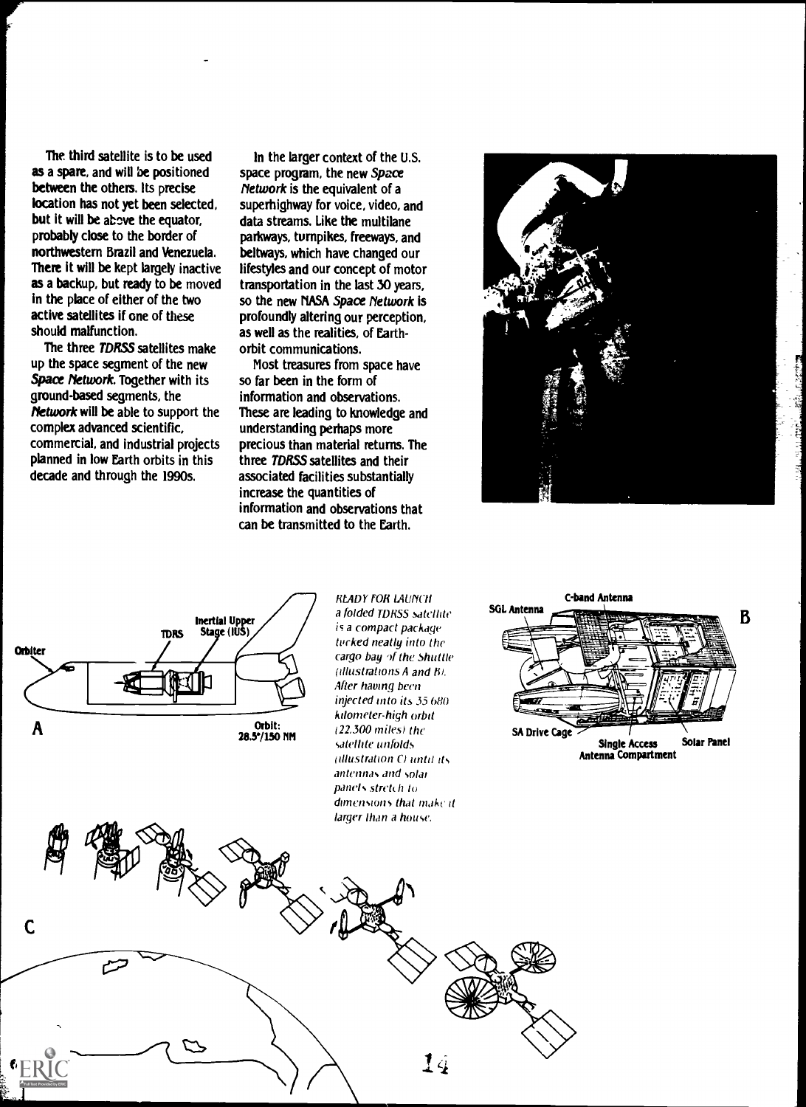The third satellite is to be used as a spare, and will be positioned between the others. Its precise location has not yet been selected, but it will be above the equator, probably close to the border of northwestern Brazil and Venezuela. There it will be kept largely inactive as a backup, but ready to be moved in the place of either of the two active satellites if one of these should malfunction.

The three TDRSS satellites make up the space segment of the new Space Network. Together with its ground-based segments, the Network will be able to support the complex advanced scientific, commercial, and industrial projects planned in low Earth orbits in this decade and through the 19905.

In the larger context of the U.S. space program, the new Space Network is the equivalent of a superhighway for voice, video, and data streams. Like the multilane parkways, turnpikes, freeways, and beltways, which have changed our lifestyles and our concept of motor transportation in the last 30 years, so the new MASA Space Network is profoundly altering our perception, as well as the realities, of Earthorbit communications.

Most treasures from space have so far been in the form of information and observations. These are leading to knowledge and understanding perhaps more precious than material returns. The three TDRSS satellites and their associated facilities substantially increase the quantities of information and observations that can be transmitted to the Earth.

![](_page_13_Picture_4.jpeg)

![](_page_13_Figure_5.jpeg)

 $\overline{C}$ 

RLADY FOR LAUNCH a folded TDRSS satellite is a compact package tucked neatly into the cargo bay of the Shuttle  $(illustrations A and B).$ After having been injected into its 35 680 kilometer -high orbit  $(22.300$  miles) the satellite unfolds (illustration C) until its antennas and solar panels stretch to dimensions that make it larger than a house.

![](_page_13_Picture_7.jpeg)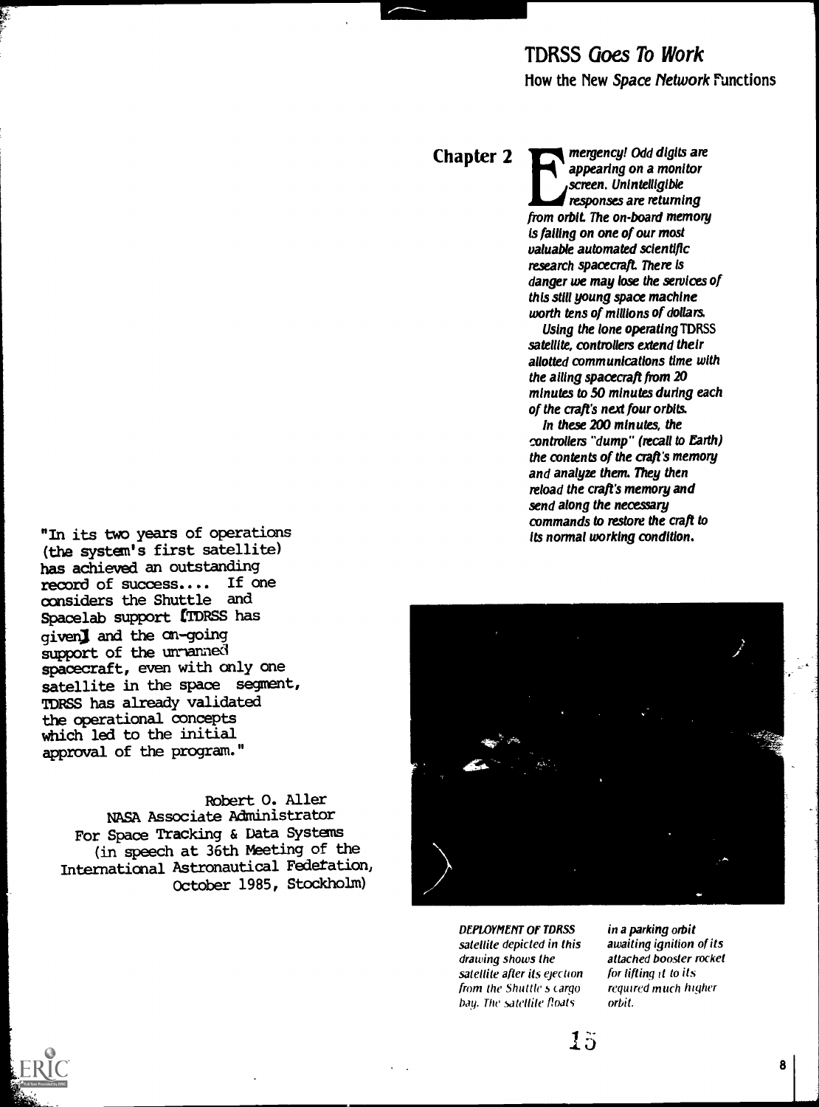TDRSS Goes To Work How the New Space Network Functions

Chapter 2

mergency! Odd digits are appearing on a monitor screen. Unintelligible responses are returning from orbit. The on-board memory is falling on one of our most valuable automated scientific research spacecraft. There is danger we may lose the services of this still young space machine worth tens of millions of dollars.

Using the lone operating TDRSS satellite, controllers extend their allotted communications time with the ailing spacecraft from 20 minutes to 50 minutes during each of the craft's next four orbits.

In these 200 minutes, the controllers "dump" (recall to Earth) the contents of the craft's memory and analyze them. They then reload the craft's memory and send along the necessary commands to restore the craft to its normal working condition.

![](_page_14_Picture_5.jpeg)

 $15$ 

DEPLOYMENT OF TDRSS satellite depicted in this drawing shows the satellite after its ejection from the Shuttle s cargo bay. The satellite floats

in a parking orbit awaiting ignition of its attached booster rocket for lifting it to its required much higher orbit.

"In its two years of operations (the system's first satellite) has achieved an outstanding record of success.... If one considers the Shuttle and Spacelab support ITDRSS has giverij and the an-going support of the unnanned spacecraft, even with only one satellite in the space segment, TDRSS has already validated the operational concepts which led to the initial approval of the program."

Robert 0. Aller NASA Associate Administrator For Space Tracking & Data Systems (in speech at 36th Meeting of the International Astronautical Federation, October 1985, Stockholm)

![](_page_14_Picture_10.jpeg)

8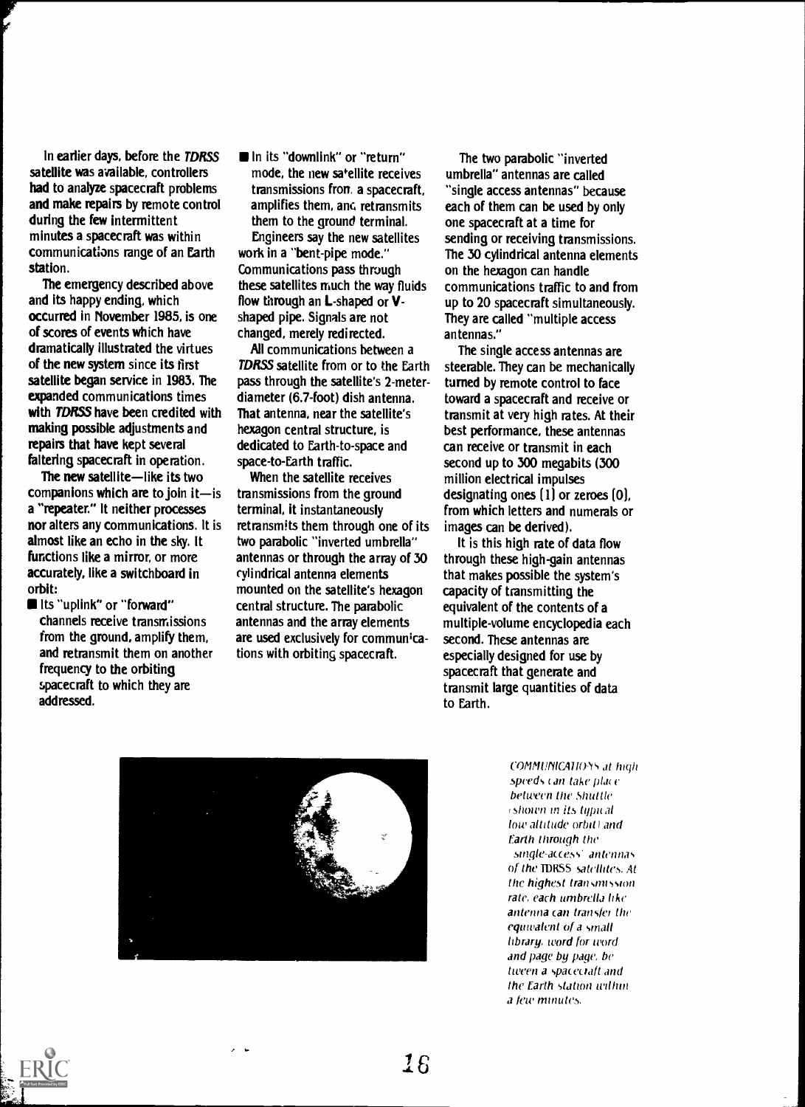In earlier days, before the TDRSS satellite was available, controllers had to analyze spacecraft problems and make repairs by remote control during the few intermittent minutes a spacecraft was within communications range of an Earth station.

The emergency described above and its happy ending, which occurred in November 1985, is one of scores of events which have dramatically Illustrated the virtues of the new system since its first satellite began service in 1983. The expanded communications times with TDRSS have been credited with making possible adjustments and repairs that have kept several faltering spacecraft in operation.

The new satellite-like its two companions which are to join  $it$ -is a "repeater." It neither processes nor alters any communications. It is almost like an echo in the sky. It functions like a mirror, or more accurately, like a switchboard in orbit:

Its "uplink" or "forward" channels receive transmissions from the ground, amplify them, and retransmit them on another frequency to the orbiting spacecraft to which they are addressed.

In its "downlink" or "return" mode, the new satellite receives transmissions from a spacecraft, amplifies them, and retransmits them to the ground terminal.

Engineers say the new satellites work in a "bent-pipe mode." Communications pass through these satellites much the way fluids flow through an L-shaped or Vshaped pipe. Signals are not changed, merely redirected.

All communications between a TDRSS satellite from or to the Earth pass through the satellite's 2-meterdiameter (6.7-foot) dish antenna. That antenna, near the satellite's hexagon central structure, is dedicated to Earth-to-space and space-to-Earth traffic.

When the satellite receives transmissions from the ground terminal, it instantaneously retransmits them through one of its two parabolic "inverted umbrella" antennas or through the array of 30 cylindrical antenna elements mounted on the satellite's hexagon central structure. The parabolic antennas and the array elements are used exclusively for communications with orbiting spacecraft.

The two parabolic "inverted umbrella" antennas are called "single access antennas" because each of them can be used by only one spacecraft at a time for sending or receiving transmissions. The 30 cylindrical antenna elements on the hexagon can handle communications traffic to and from up to 20 spacecraft simultaneously. They are called "multiple access antennas."

The single access antennas are steerable. They can be mechanically turned by remote control to face toward a spacecraft and receive or transmit at very high rates. At their best performance, these antennas can receive or transmit in each second up to 300 megabits (300 million electrical impulses designating ones (1) or zeroes (0), from which letters and numerals or images can be derived).

It is this high rate of data flow through these high-gain antennas that makes possible the system's capacity of transmitting the equivalent of the contents of a multiple-volume encyclopedia each second. These antennas are especially designed for use by spacecraft that generate and transmit large quantities of data to Earth.

COMMUNICATIONS at high speeds (an take place between the Shuttle 5110001 uI its typical low altitude orbit) and Earth through the single-access' antennas of the TDRSS satellites. At the highest transmission rate, each umbrella like antenna can transfer the equivalent of a small library, word for word and page by page, be tween a spacectaft and the Earth station within a few minutes.

![](_page_15_Picture_13.jpeg)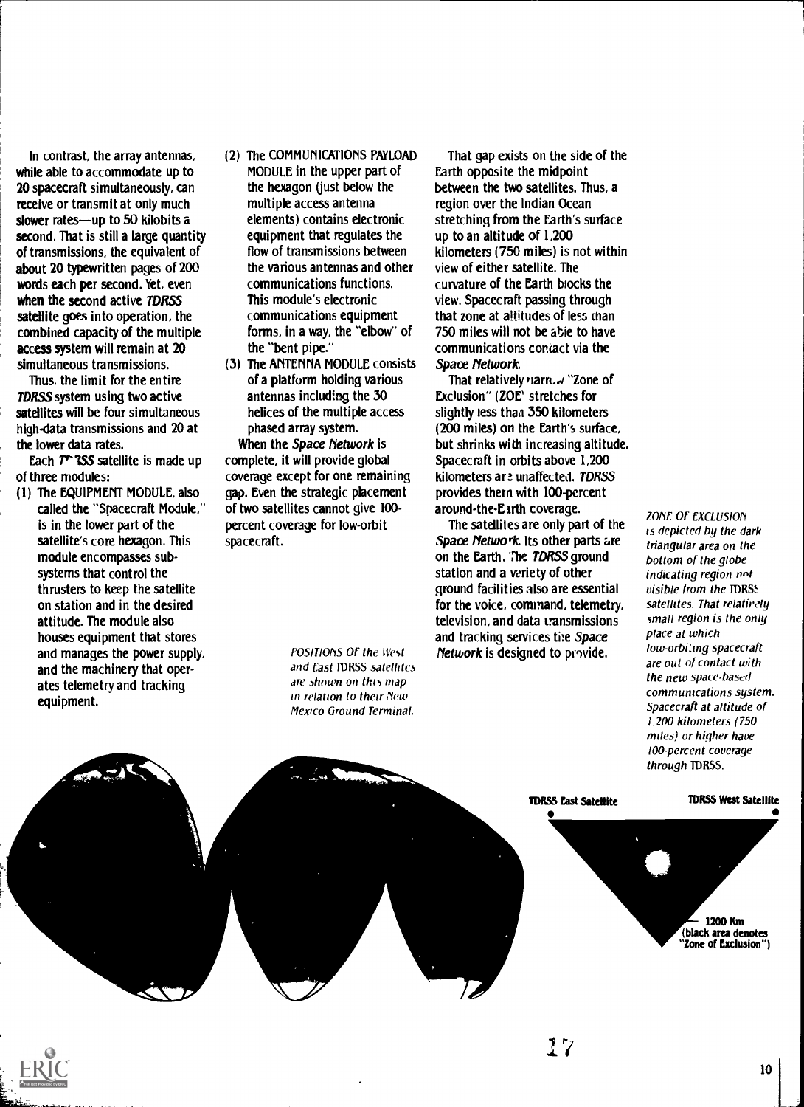In contrast, the array antennas, while able to accommodate up to 20 spacecraft simultaneously, can receive or transmit at only much slower rates-up to 50 kilobits a second. That is still a large quantity of transmissions, the equivalent of about 20 typewritten pages of 200 words each per second. Yet, even when the second active TDRSS satellite goes into operation, the combined capacity of the multiple access system will remain at 20 simultaneous transmissions.

Thus, the limit for the entire TDRSS system using two active satellites will be four simultaneous high-data transmissions and 20 at the lower data rates.

Each Tr 7SS satellite is made up of three modules:

(1) The EQUIPMENT MODULE, also called the "Spacecraft Module," is in the lower part of the satellite's core hexagon. This module encompasses subsystems that control the thrusters to keep the satellite on station and in the desired attitude. The module also houses equipment that stores and manages the power supply, and the machinery that operates telemetry and tracking equipment.

- (2) The COMMUNICATIONS PAYLOAD
- MODULE in the upper part of the hexagon (just below the multiple access antenna elements) contains electronic equipment that regulates the flow of transmissions between the various antennas and other communications functions. This module's electronic communications equipment forms, in a way, the "elbow" of the "bent pipe."
- (3) The ANTENNA MODULE consists of a platform holding various antennas including the 30 helices of the multiple access phased array system.

When the Space Network is complete, it will provide global coverage except for one remaining gap. Even the strategic placement of two satellites cannot give 100 percent coverage for low-orbit spacecraft.

> POSITIONS Of the West and East 1DRSS satellites are shown on this map in relation to their New Mexico Ground Terminal.

That gap exists on the side of the Earth opposite the midpoint between the two satellites. Thus, a region over the Indian Ocean stretching from the Earth's surface up to an altitude of 1,200 kilometers (750 miles) is not within view of either satellite. The curvature of the Earth blocks the view. Spacecraft passing through that zone at altitudes of less man 750 miles will not be atie to have communications contact via the Space Network.

That relatively riarrow "Zone of Exclusion" (ZOE` stretches for slightly less than 350 kilometers (200 miles) on the Earth's surface, but shrinks with increasing altitude. Spacecraft in orbits above 1,200 kilometers are unaffected. TDRSS provides them with 100-percent around-the-Eirth coverage.

The satellites are only part of the Space Network. Its other parts are on the Earth. The TDRSS ground station and a variety of other ground facilities also are essential for the voice, command, telemetry, television, and data transmissions and tracking services the Space Network is designed to provide.

ZONE Of EXCLUSION is depicted by the dark triangular area on the bottom of the globe indicating region not visible from the 1DRSt. satellites. That relatirely small region is the only place at which low-orbiting spacecraft are out of contact with the new space-based communications system. Spacecraft at altitude of 1,200 kilometers (750 miles) or higher have 100-percent coverage through 1DRSS.

TDRSS West Satellite

![](_page_16_Picture_14.jpeg)

**TDRSS East Satellite**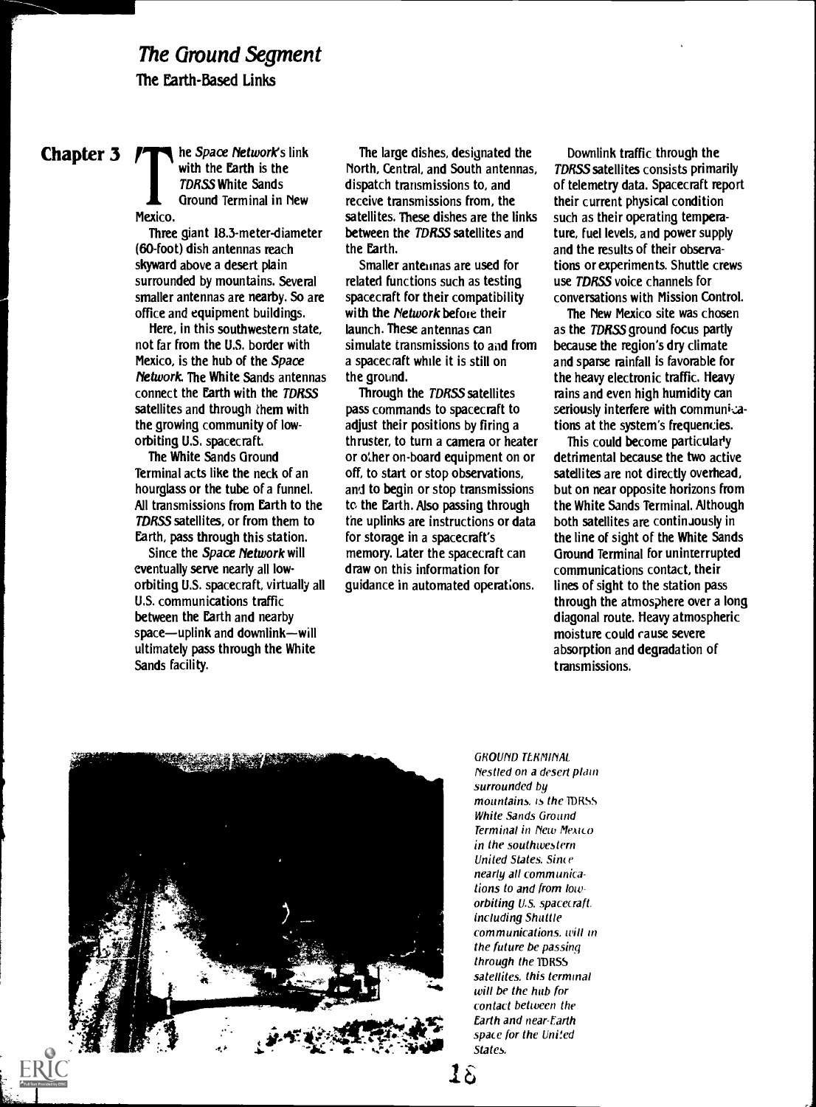#### The Ground Segment

The Earth-Based Links

#### **Chapter 3**

he Space Network's link with the Earth is the TDRSS White Sands Ground Terminal in New Mexico.

Three giant 18.3-meter-diameter (60-foot) dish antennas reach skyward above a desert plain surrounded by mountains. Several smaller antennas are nearby. So are office and equipment buildings.

Here, in this southwestern state, not far from the U.S. border with Mexico, is the hub of the Space Network The White Sands antennas connect the Earth with the TDRSS satellites and through them with the growing community of loworbiting U.S. spacecraft.

The White Sands Ground Terminal acts like the neck of an hourglass or the tube of a funnel. All transmissions from Earth to the TDRSS satellites, or from them to Earth, pass through this station.

Since the Space Network will eventually serve nearly all loworbiting U.S. spacecraft, virtually all U.S. communications traffic between the Earth and nearby space-uplink and downlink-will ultimately pass through the White Sands facility.

The large dishes, designated the North, Central, and South antennas, dispatch transmissions to, and receive transmissions from, the satellites. These dishes are the links between the TDRSS satellites and the Earth.

Smaller antennas are used for related functions such as testing spacecraft for their compatibility with the Network before their launch. These antennas can simulate transmissions to and from a spacecraft while it is still on the ground.

Through the TDRSS satellites pass commands to spacecraft to adjust their positions by firing a thruster, to turn a camera or heater or other on-board equipment on or off, to start or stop observations, and to begin or stop transmissions tc the Earth. Also passing through the uplinks are instructions or data for storage in a spacecraft's memory. Later the spacecraft can draw on this information for guidance in automated operations.

Downlink traffic through the TDRSS satellites consists primarily of telemetry data. Spacecraft report their current physical condition such as their operating temperature, fuel levels, and power supply and the results of their observations or experiments. Shuttle crews use TDRSS voice channels for conversations with Mission Control.

The New Mexico site was chosen as the TDRSS ground focus partly because the region's dry climate and sparse rainfall is favorable for the heavy electronic traffic. Heavy rains and even high humidity can seriously interfere with communi-zations at the system's frequencies.

This could become particular'y detrimental because the two active satellites are not directly overhead, but on near opposite horizons from the White Sands Terminal. Although both satellites are continuously in the line of sight of the White Sands Ground Terminal for uninterrupted communications contact, their lines of sight to the station pass through the atmosphere over a long diagonal route. Heavy atmospheric moisture could rause severe absorption and degradation of transmissions.

![](_page_17_Picture_14.jpeg)

Earth and near-Earth GROUND TERMINAL Nestled on a desert plain surrounded by mountains, is the 1DRSS White Sands Ground Terminal in New MeAico in the southwestern United States. Since nearly all communications to and from loworbiting U.S. spacecraft, including Shuttle communications, will in the future be passing through the 1DRSS satellites, this terminal will be the hub for contact between the space for the United States.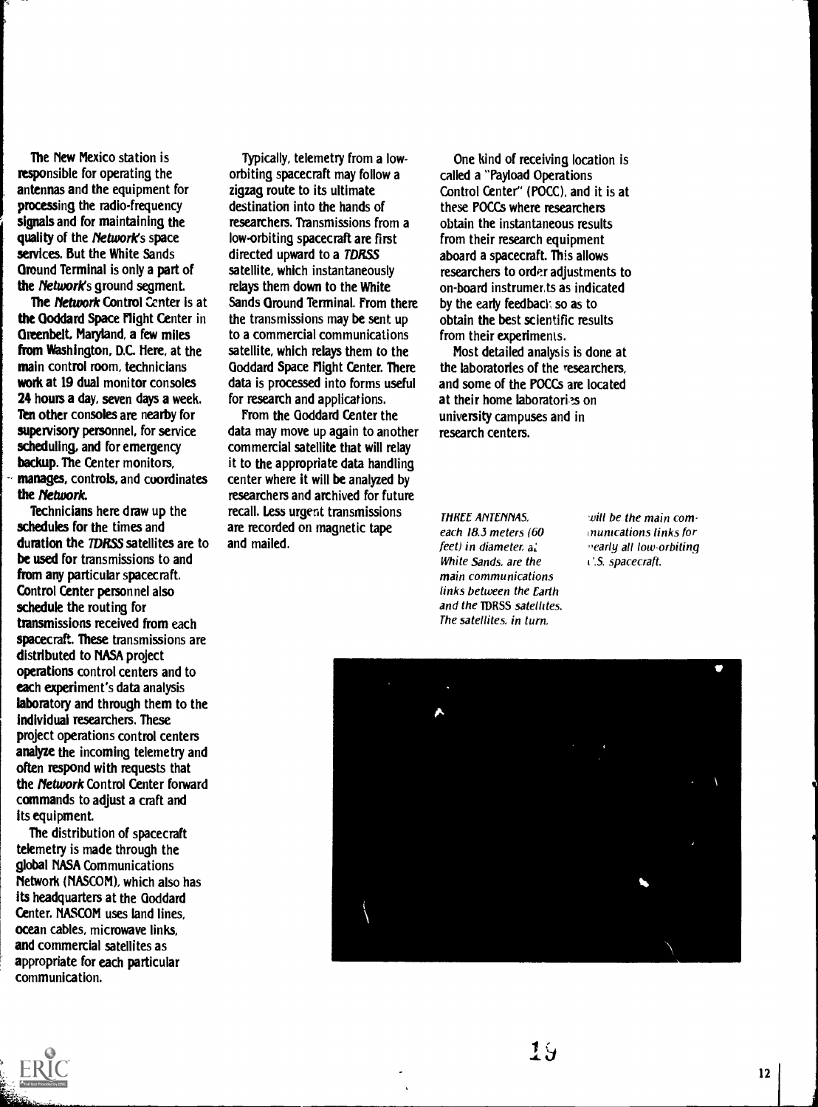The New Mexico station is responsible for operating the antennas and the equipment for processing the radio-frequency signals and for maintaining the quality of the Network's space services. But the White Sands Ground Terminal is only a part of the Network's ground segment.

The *Network* Control Center is at the Goddard Space Flight Center in Greenbelt, Maryland, a few miles from Washington, D.C. Here, at the main control room, technicians work at 19 dual monitor consoles 24 hours a day, seven days a week. Ten other consoles are nearby for supervisory personnel, for service scheduling, and for emergency backup. The Center monitors, manages, controls, and coordinates the Network

Technicians here draw up the schedules for the times and duration the TDRSS satellites are to be used for transmissions to and from any particular spacecraft. Control Center personnel also schedule the routing for transmissions received from each spacecraft. These transmissions are distributed to NASA project operations control centers and to each experiment's data analysis laboratory and through them to the individual researchers. These project operations control centers analyze the incoming telemetry and often respond with requests that the Network Control Center forward commands to adjust a craft and its equipment.

The distribution of spacecraft telemetry is made through the global NASA Communications Network (NASCOM), which also has its headquarters at the Goddard Center. NASCOM uses land lines, ocean cables, microwave links, and commercial satellites as appropriate for each particular communication.

Typically, telemetry from a loworbiting spacecraft may follow a zigzag route to its ultimate destination into the hands of researchers. Transmissions from a low-orbiting spacecraft are first directed upward to a TDRSS satellite, which instantaneously relays them down to the White Sands Ground Terminal. From there the transmissions may be sent up to a commercial communications satellite, which relays them to the Goddard Space Flight Center. There data is processed into forms useful for research and applications.

From the Goddard Center the data may move up again to another commercial satellite that will relay it to the appropriate data handling center where it will be analyzed by researchers and archived for future recall. Less urgent transmissions are recorded on magnetic tape and mailed.

One kind of receiving location is called a "Payload Operations Control Center" (POCC), and it is at these POCCs where researchers obtain the instantaneous results from their research equipment aboard a spacecraft. This allows researchers to order adjustments to on-board instruments as indicated by the early feedbacl; so as to obtain the best scientific results from their experiments.

Most detailed analysis is done at the laboratories of the researchers, and some of the POCCs are located at their home laboratories on university campuses and in research centers.

THREE ANTENNAS, each 18.3 meters (60 feet) in diameter, all White Sands, are the main communications links between the Earth and the **IDRSS** satellites. The satellites, in turn,

will be the main cominunications links for nearly all low-orbiting i'.S. spacecraft.

![](_page_18_Picture_10.jpeg)

![](_page_18_Picture_11.jpeg)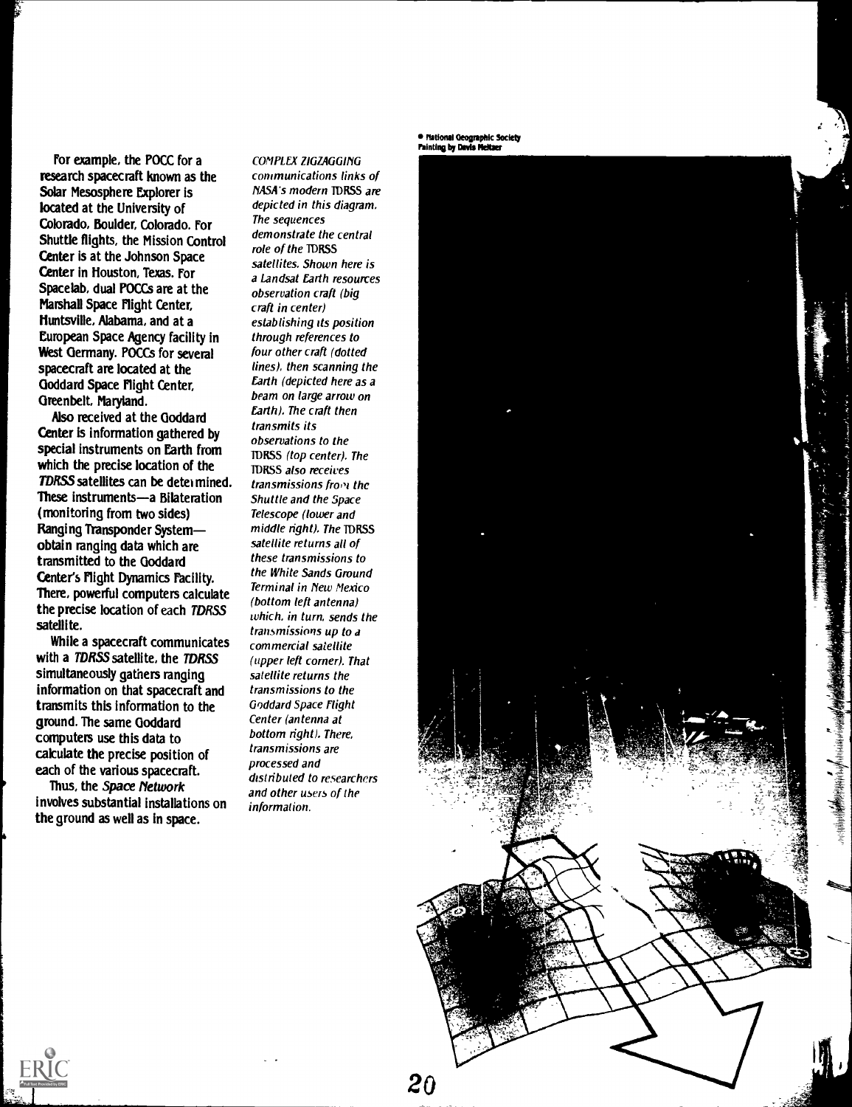For example, the Pocc for a research spacecraft known as the Solar Mesosphere Explorer is located at the University of Colorado, Boulder, Colorado. For Shuttle flights, the Mission Control Center is at the Johnson Space Center in Houston, Texas. For Spacelab, dual POCCs are at the Marshall Space Might Center, Huntsville, Alabama, and at a European Space Agency facility in West Germany. POCCs for several spacecraft are located at the Goddard Space Flight Center, Greenbelt, Maryland.

Also received at the Goddard Center is information gathered by special instruments on Earth from which the precise location of the TDRSS satellites can be deter mined. These instruments-a Bilateration (monitoring from two sides) Ranging Transponder System obtain ranging data which are transmitted to the Goddard Center's Might Dynamics Facility. There, powerful computers calculate the precise location of each TDRSS satellite.

While a spacecraft communicates with a TDRSS satellite, the TDRSS simultaneously gathers ranging information on that spacecraft and transmits this information to the ground. The same Goddard computers use this data to calculate the precise position of each of the various spacecraft.

Thus, the Space Network involves substantial installations on the ground as well as in space.

COMPLEX ZIGZAGGING communications links of NASA's modern TDRSS are depicted in this diagram. The sequences demonstrate the central role of the 1DRSS satellites. Shown here is a Landsat Earth resources observation craft (big craft in center) establishing its position through references to four other craft (dotted lines), then scanning the Earth (depicted here as a beam on large arrow on Earth). The craft then transmits its observations to the 1DRSS (top center). The TDRSS also receives transmissions from the Shuttle and the Space Telescope (lower and middle right). The 1DRSS satellite returns all of these transmissions to the White Sands Ground Terminal in New Mexico (bottom left antenna) which, in turn, sends the transmissions up to a commercial satellite (upper left corner). That satellite returns the transmissions to the Goddard Space flight Center (antenna at bottom right). There, transmissions are processed and distributed to researchers and other users of the information.

![](_page_19_Figure_5.jpeg)

![](_page_19_Picture_6.jpeg)

![](_page_19_Picture_7.jpeg)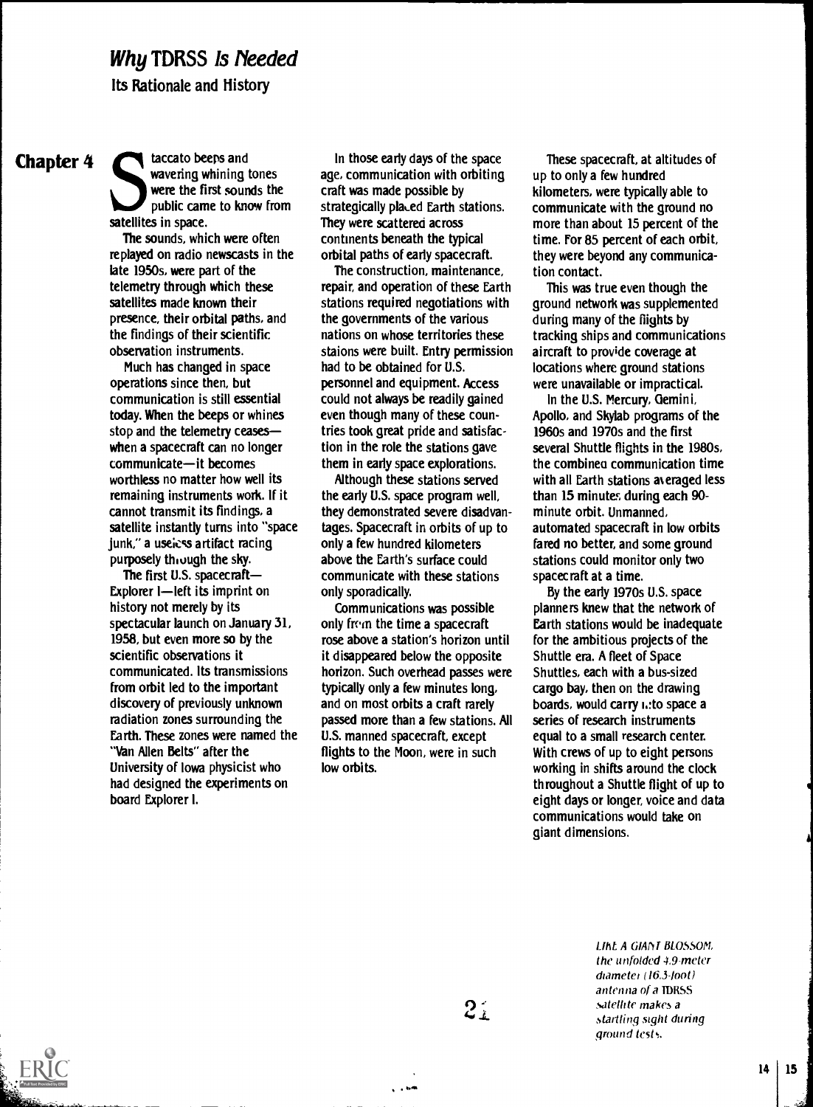Its Rationale and History

#### Chapter 4

taccato beeps and wavering whining tones were the first sounds the public came to know from satellites in space.

The sounds, which were often replayed on radio newscasts in the late 1950s, were part of the telemetry through which these satellites made known their presence, their orbital paths, and the findings of their scientific observation instruments.

Much has changed in space operations since then, but communication is still essential today. When the beeps or whines stop and the telemetry ceases when a spacecraft can no longer communicate-it becomes worthless no matter how well its remaining instruments work. If it cannot transmit its findings, a satellite instantly turns into "space junk," a useless artifact racing purposely through the sky.

The first U.S. spacecraft Explorer I-left its imprint on history not merely by its spectacular launch on January 31, 1958, but even more so by the scientific observations it communicated. Its transmissions from orbit led to the important discovery of previously unknown radiation zones surrounding the Earth. These zones were named the "Van Allen Belts" after the University of Iowa physicist who had designed the experiments on board Explorer I.

In those early days of the space age, communication with orbiting craft was made possible by strategically placed Earth stations. They were scattered across continents beneath the typical orbital paths of early spacecraft.

The construction, maintenance, repair, and operation of these Earth stations required negotiations with the governments of the various nations on whose territories these staions were built. Entry permission had to be obtained for U.S. personnel and equipment. Access could not always be readily gained even though many of these countries took great pride and satisfaction in the role the stations gave them in early space explorations.

Although these stations served the early U.S. space program well, they demonstrated severe disadvantages. Spacecraft in orbits of up to only a few hundred kilometers above the Earth's surface could communicate with these stations only sporadically.

Communications was possible only frvin the time a spacecraft rose above a station's horizon until it disappeared below the opposite horizon. Such overhead passes were typically only a few minutes long, and on most orbits a craft rarely passed more than a few stations. All U.S. manned spacecraft, except flights to the Moon, were in such low orbits.

These spacecraft, at altitudes of up to only a few hundred kilometers, were typically able to communicate with the ground no more than about 15 percent of the time. For 85 percent of each orbit, they were beyond any communication contact.

This was true even though the ground network was supplemented during many of the flights by tracking ships and communications aircraft to provide coverage at locations where ground stations were unavailable or impractical.

In the U.S. Mercury, Gemini, Apollo, and Skylab programs of the 1960s and 1970s and the first several Shuttle flights in the 1980s, the combined communication time with all Earth stations averaged less than 15 minutes during each 90 minute orbit. Unmanned, automated spacecraft in low orbits fared no better, and some ground stations could monitor only two spacecraft at a time.

By the early 1970s U.S. space planners knew that the network of Earth stations would be inadequate for the ambitious projects of the Shuttle era. A fleet of Space Shuttles, each with a bus-sized cargo bay, then on the drawing boards, would carry 1,:to space a series of research instruments equal to a small research center. With crews of up to eight persons working in shifts around the clock throughout a Shuttle flight of up to eight days or longer, voice and data communications would take on giant dimensions.

> **LIKE A GIANT BLOSSOM.** the unfolded 4.9-meter diameter (16.3-foot) antenna of a **TDRSS** satellite makes a startling sight during ground test,,

![](_page_20_Picture_16.jpeg)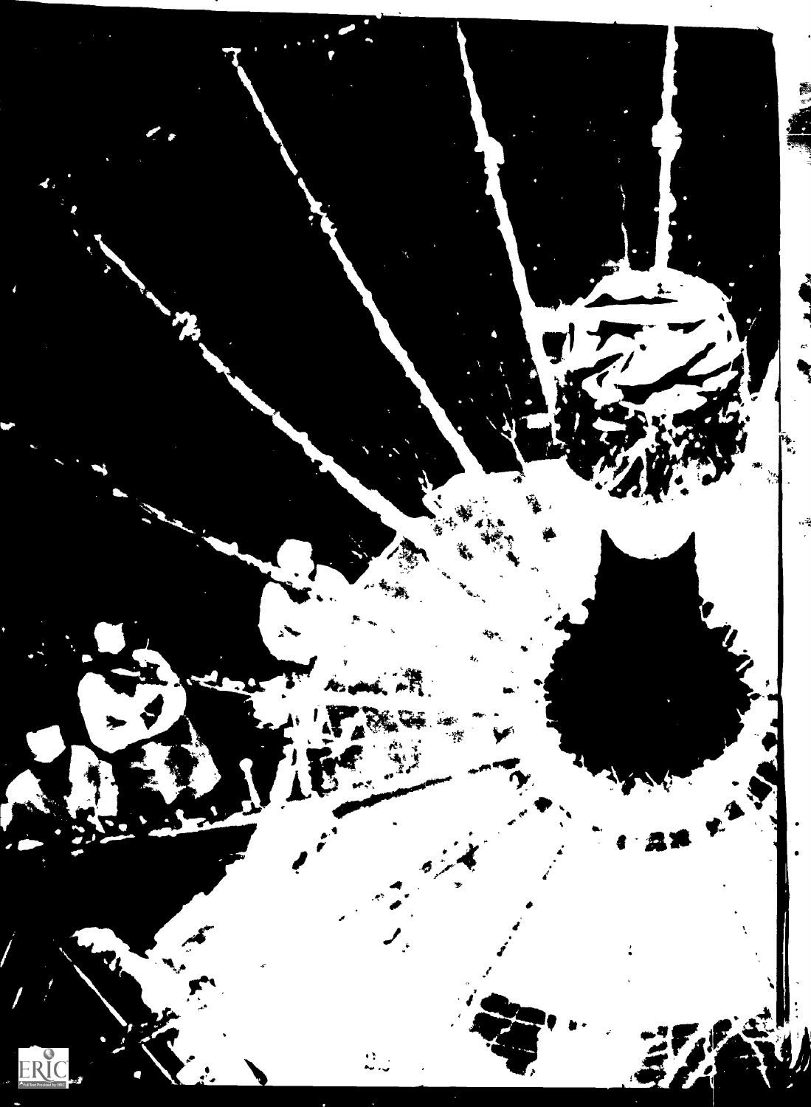![](_page_21_Picture_0.jpeg)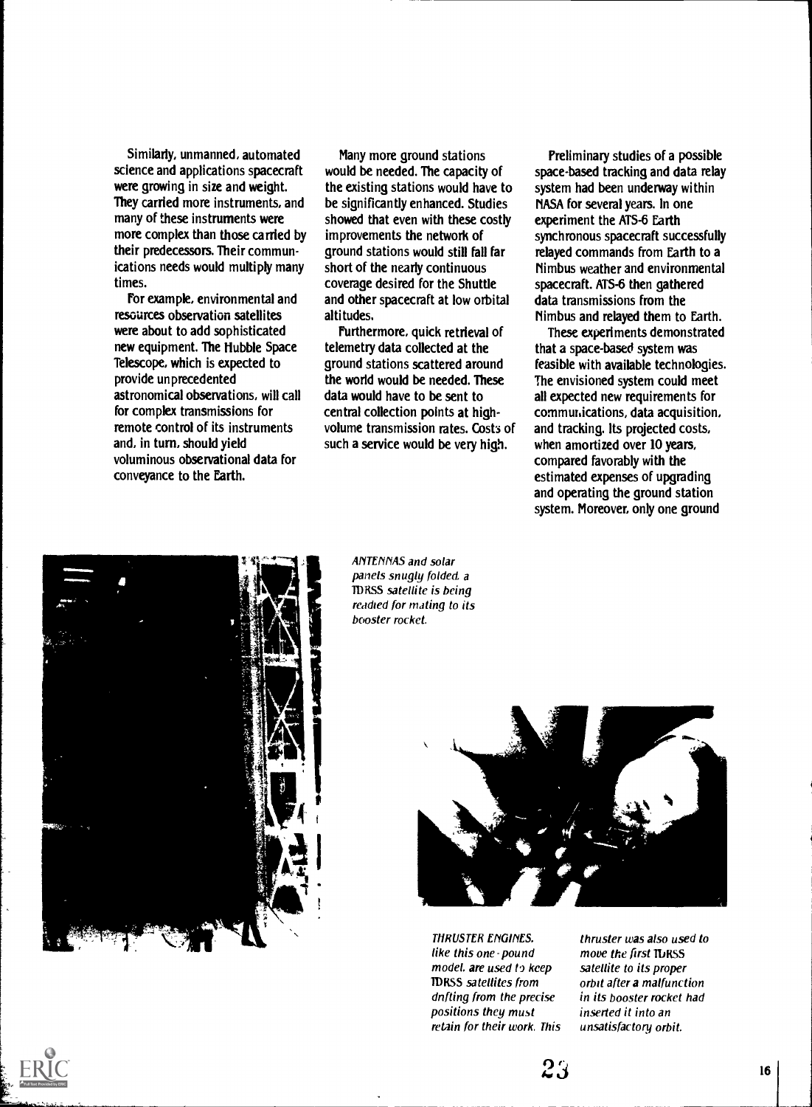Similarly, unmanned, automated science and applications spacecraft were growing in size and weight. They carried more instruments, and many of these instruments were more complex than those carried by their predecessors. Their communications needs would multiply many times.

For example, environmental and resources observation satellites were about to add sophisticated new equipment. The Hubble Space Telescope, which is expected to provide unprecedented astronomical observations, will call for complex transmissions for remote control of its instruments and, in turn, should yield voluminous observational data for conveyance to the Earth.

Many more ground stations would be needed. The capacity of the existing stations would have to be significantly enhanced. Studies showed that even with these costly improvements the network of ground stations would still fall far short of the nearly continuous coverage desired for the Shuttle and other spacecraft at low orbital altitudes.

Furthermore, quick retrieval of telemetry data collected at the ground stations scattered around the world would be needed. These data would have to be sent to central collection points at highvolume transmission rates. Costs of such a service would be very high.

Preliminary studies of a possible space-based tracking and data relay system had been underway within NASA for several years. In one experiment the ATS-6 Earth synchronous spacecraft successfully relayed commands from Earth to a Nimbus weather and environmental spacecraft. ATS-6 then gathered data transmissions from the Nimbus and relayed them to Earth.

These experiments demonstrated that a space-based system was feasible with available technologies. The envisioned system could meet all expected new requirements for communications, data acquisition, and tracking. Its projected costs, when amortized over 10 years, compared favorably with the estimated expenses of upgrading and operating the ground station system. Moreover, only one ground

![](_page_22_Picture_6.jpeg)

ANTENNAS and solar panels snugly folded, a TDRSS satellite is being readied for mating to its booster rocket.

![](_page_22_Picture_8.jpeg)

THRUSTER ENGINES, like this one -pound model, are used to keep TDRSS satellites from dnfting from the precise positions they must retain for their work. This thruster was also used to moue the first TURSS satellite to its proper orbit after a malfunction in its booster rocket had inserted it into an unsatisfactory orbit.

![](_page_22_Picture_11.jpeg)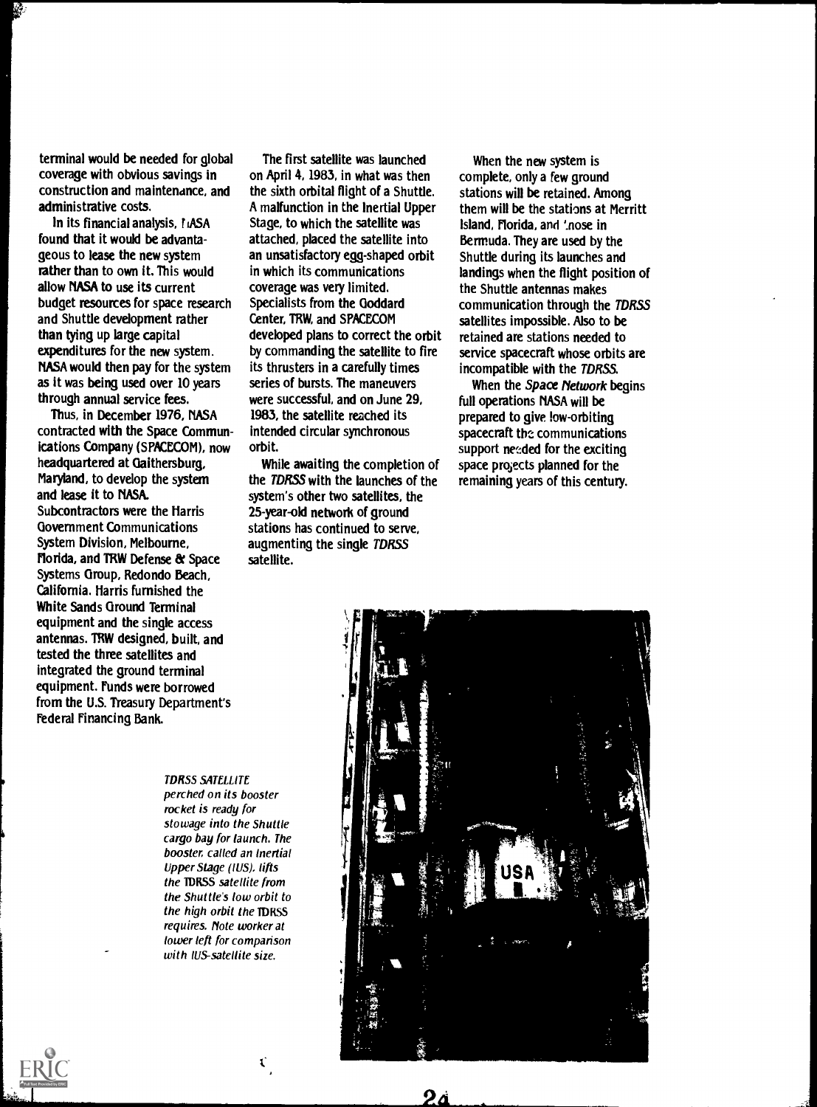terminal would be needed for global coverage with obvious savings in construction and maintenance, and administrative costs.

In its financial analysis, MASA found that it would be advantageous to lease the new system rather than to own it. This would allow NASA to use its current budget resources for space research and Shuttle development rather than tying up large capital expenditures for the new system. NASA would then pay for the system as it was being used over 10 years through annual service fees.

Thus, in December 1976, NASA contracted with the Space Communications Company (SPACECOM), now headquartered at Gaithersburg, Maryland, to develop the system and lease it to NASA. Subcontractors were the Harris Government Communications System Division, Melbourne, Florida, and TRW Defense & Space Systems Group, Redondo Beach, California. Harris furnished the White Sands Ground Terminal equipment and the single access antennas. TRW designed, built, and tested the three satellites and integrated the ground terminal equipment. Funds were borrowed from the U.S. Treasury Department's Federal Financing Bank.

The first satellite was launched on April 4, 1983, in what was then the sixth orbital flight of a Shuttle. A malfunction in the Inertial Upper Stage, to which the satellite was attached, placed the satellite into an unsatisfactory egg-shaped orbit in which its communications coverage was very limited. Specialists from the Goddard Center, TRW, and SPACECOM developed plans to correct the orbit by commanding the satellite to fire its thrusters in a carefully times series of bursts. The maneuvers were successful, and on June 29, 1983, the satellite reached its intended circular synchronous

While awaiting the completion of the TDRSS with the launches of the system's other two satellites, the 25-year-old network of ground stations has continued to serve, augmenting the single TDRSS satellite.

When the new system is complete, only a few ground stations will be retained. Among them will be the stations at Merritt Island, Florida, and '.nose in Bermuda. They are used by the Shuttle during its launches and landings when the flight position of the Shuttle antennas makes communication through the TDRSS satellites impossible. Also to be retained are stations needed to service spacecraft whose orbits are incompatible with the TDRSS.

When the Space Network begins full operations NASA will be prepared to give low-orbiting spacecraft the communications support needed for the exciting space projects planned for the remaining years of this century.

![](_page_23_Picture_7.jpeg)

 $2a$ 

perched on its booster rocket is ready for stowage into the Shuttle cargo bay for launch. The booster, called an Inertial Upper Stage (IUS), lifts the 1DRSS satellite from the Shuttle's low orbit to the high orbit the 1DRSS requires. Note worker at lower left for comparison with IUS-satellite size.

t,

**TDRSS SATELLITE** 

![](_page_23_Picture_9.jpeg)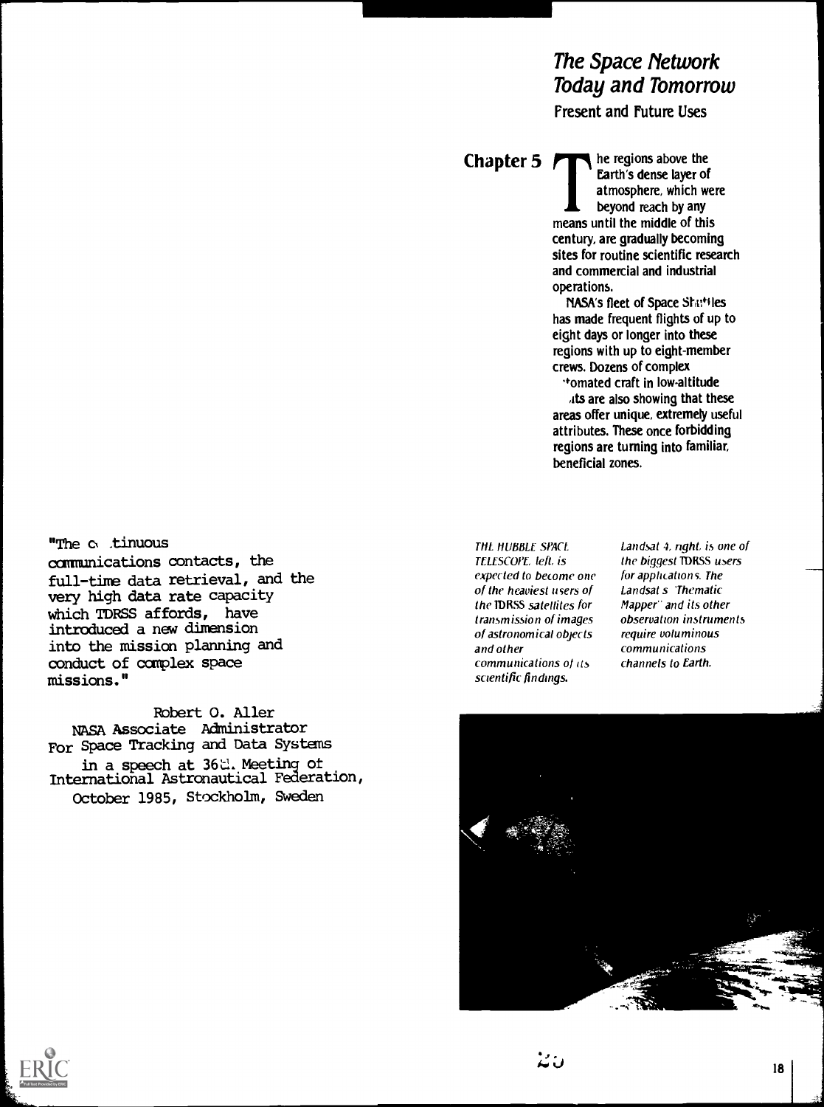## The Space Network Today and Tomorrow

Fresent and Future Uses

#### Chapter 5 /

he regions above the Earth's dense layer of atmosphere, which were beyond reach by any means until the middle of this century, are gradually becoming sites for routine scientific research and commercial and industrial operations.

NASA's fleet of Space Shattles has made frequent flights of up to eight days or longer into these regions with up to eight-member crews. Dozens of complex

tomated craft in low-altitude its are also showing that these areas offer unique, extremely useful attributes. These once forbidding regions are turning into familiar, beneficial zones.

"The c .tinuous communications contacts, the full-time data retrieval, and the very high data rate capacity which TDRSS affords, have introduced a new dimension into the mission planning and conduct of complex space missions."

Robert O. Aller NASA Associate Administrator For Space Tracking and Data Systems in a speech at 36th. Meeting of International Astronautical Federation, October 1985, Stockholm, Sweden

THL HUBBLE SPACE TELESCOPE, left, is expected to become one of the heaviest users of the 1DRSS satellites for transmission of images of astronomical objects and other communications of its scientific findings.

Landsat 4, nght, is one of the biggest 1DRSS users for applications. The Landsat s 'Thematic Mapper" and its other observation instruments require voluminous communications channels to Earth.

![](_page_24_Picture_10.jpeg)

![](_page_24_Picture_11.jpeg)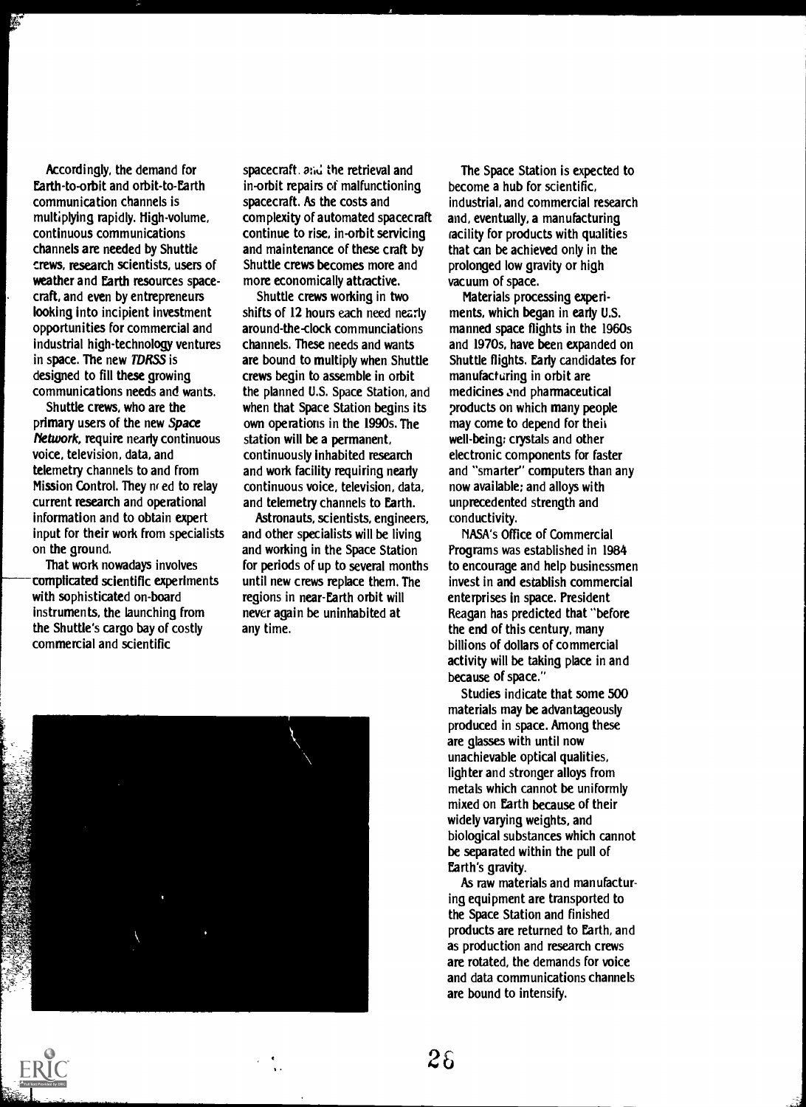Accordingly, the demand for Earth-to-orbit and orbit-to-Earth communication channels is multiplying rapidly. High-volume, continuous communications channels are needed by Shuttie crews, research scientists, users of weather and Earth resources spacecraft, and even by entrepreneurs looking into incipient investment opportunities for commercial and industrial high-technology ventures in space. The new TDRSS is designed to fill these growing communications needs and wants.

Shuttle crews, who are the primary users of the new Space Network, require nearly continuous voice, television, data, and telemetry channels to and from Mission Control. They no ed to relay current research and operational information and to obtain expert input for their work from specialists on the ground.

That work nowadays involves complicated scientific experiments with sophisticated on-board instruments, the launching from the Shuttle's cargo bay of costly commercial and scientific

spacecraft. and the retrieval and in-orbit repairs of malfunctioning spacecraft. As the costs and complexity of automated spacecraft continue to rise, in-orbit servicing and maintenance of these craft by Shuttle crews becomes more and more economically attractive.

Shuttle crews working in two shifts of 12 hours each need nearly around-the-clock communciations channels. These needs and wants are bound to multiply when Shuttle crews begin to assemble in orbit the planned U.S. Space Station, and when that Space Station begins its own operations in the 1990s. The station will be a permanent, continuously inhabited research and work facility requiring nearly continuous voice, television, data, and telemetry channels to Earth.

Astronauts, scientists, engineers, and other specialists will be living and working in the Space Station for periods of up to several months until new crews replace them. The regions in near-Earth orbit will never again be uninhabited at any time.

![](_page_25_Picture_6.jpeg)

The Space Station is expected to become a hub for scientific, industrial, and commercial research and, eventually, a manufacturing racility for products with qualities that can be achieved only in the prolonged low gravity or high vacuum of space.

Materials processing experiments, which began in early U.S. manned space flights in the 1960s and 1970s, have been expanded on Shuttle flights. Early candidates for manufacturing in orbit are medicines and pharmaceutical products on which many people may come to depend for their well-being: crystals and other electronic components for faster and "smarter" computers than any now available; and alloys with unprecedented strength and conductivity.

NASA's Office of Commercial Programs was established in 1984 to encourage and help businessmen invest in and establish commercial enterprises in space. President Reagan has predicted that "before the end of this century, many billions of dollars of commercial activity will be taking place in and because of space."

Studies indicate that some 500 materials may be advantageously produced in space. Among these are glasses with until now unachievable optical qualities, lighter and stronger alloys from metals which cannot be uniformly mixed on Earth because of their widely varying weights, and biological substances which cannot be separated within the pull of Earth's gravity.

As raw materials and manufacturing equipment are transported to the Space Station and finished products are returned to Earth, and as production and research crews are rotated, the demands for voice and data communications channels are bound to intensify.

![](_page_25_Picture_12.jpeg)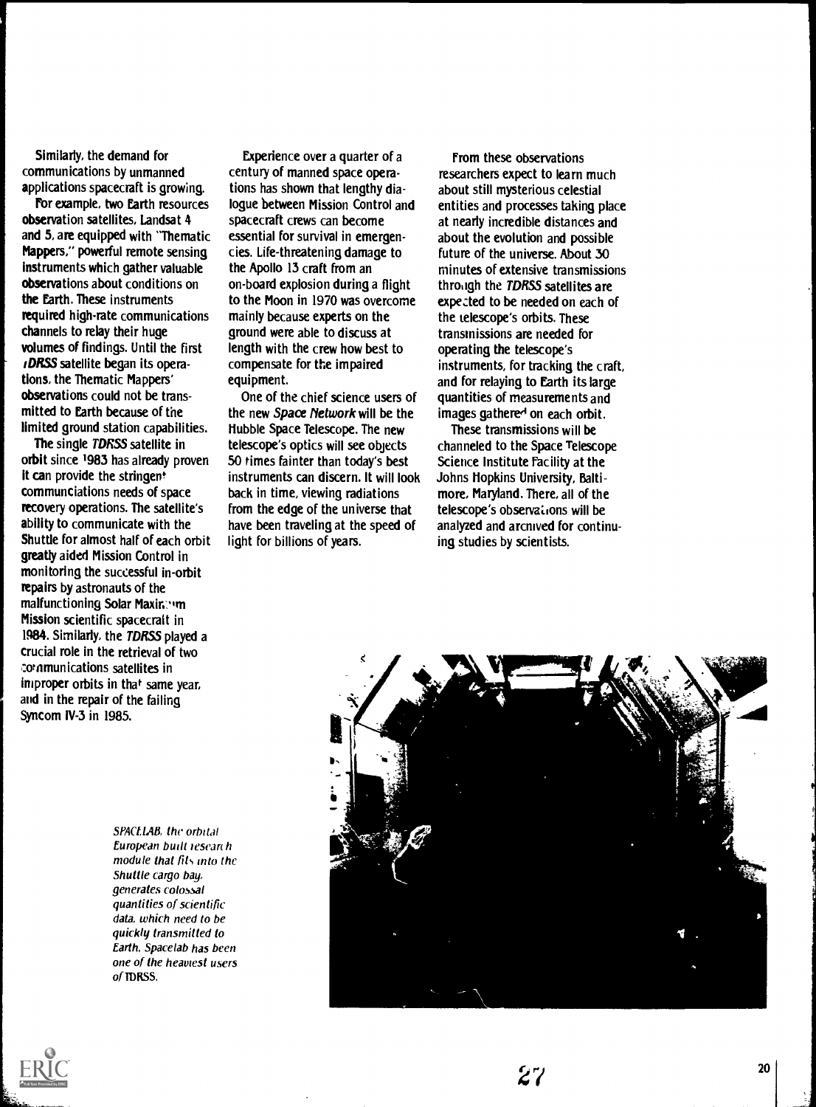Similarly, the demand for communications by unmanned applications spacecraft is growing.

For example, two Earth resources observation satellites, Landsat 4 and 5, are equipped with "Thematic Mappers," powerful remote sensing instruments which gather valuable observations about conditions on the Earth. These instruments required high-rate communications channels to relay their huge volumes of findings. Until the first ,DRSS satellite began its operations, the Thematic Mappers' observations could not be transmitted to Earth because of the limited ground station capabilities.

The single TDRSS satellite in orbit since '983 has already proven it can provide the stringen communciations needs of space recovery operations. The satellite's ability to communicate with the Shuttle for almost half of each orbit greatly aided Mission Control in monitoring the successful in-orbit repairs by astronauts of the malfunctioning Solar Maxin. Im Mission scientific spacecrait in 1984. Similarly, the TDRSS played a crucial role in the retrieval of two co amunications satellites in improper orbits in that same year, and in the repair of the failing Syncom IV-3 in 1985.

> SPACLLAB, the orbital European built research module that fits into the Shuttle cargo bay, generates colossal quantities of scientific data, which need to be quickly transmitted to Earth. Spacelab has been one of the heaviest users of *IDRSS*.

Experience over a quarter of a century of manned space operations has shown that lengthy dialogue between Mission Control and spacecraft crews can become essential for survival in emergencies. Life-threatening damage to the Apollo 13 craft from an on-board explosion during a flight to the Moon in 1970 was overcome mainly because experts on the ground were able to discuss at length with the crew how best to compensate for the impaired equipment.

One of the chief science users of the new Space Network will be the Hubble Space Telescope. The new telescope's optics will see objects 50 times fainter than today's best instruments can discern. It will look back in time, viewing radiations from the edge of the universe that have been traveling at the speed of light for billions of years.

From these observations researchers expect to learn much about still mysterious celestial entities and processes taking place at nearly incredible distances and about the evolution and possible future of the universe. About 30 minutes of extensive transmissions throagh the TDRSS satellites are expected to be needed on each of the telescope's orbits. These transmissions are needed for operating the telescope's instruments, for tracking the craft, and for relaying to Earth its large quantities of measurements and images gathere<sup>d</sup> on each orbit.

These transmissions will be channeled to the Space Telescope Science Institute Facility at the Johns Hopkins University, Baltimore, Maryland. There, all of the telescope's observations will be analyzed and arcnived for continuing studies by scientists.

![](_page_26_Picture_8.jpeg)

![](_page_26_Picture_9.jpeg)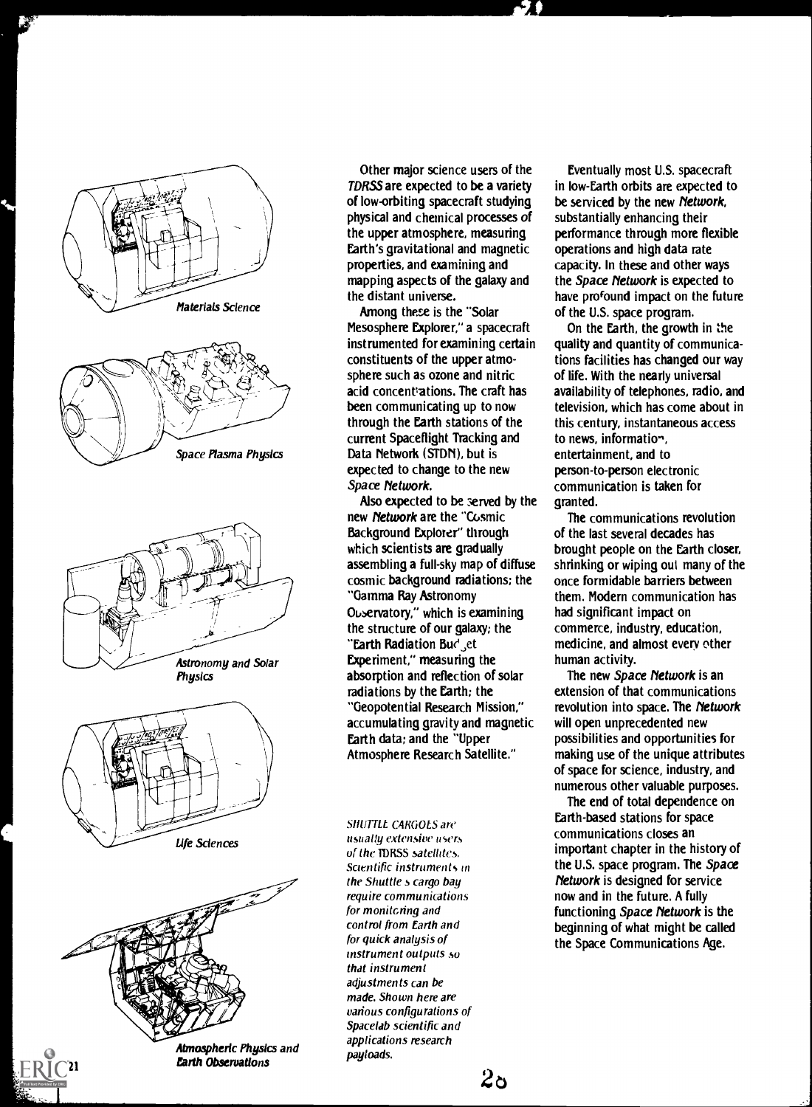![](_page_27_Figure_0.jpeg)

Other major science users of the TDRSS are expected to be a variety of low-orbiting spacecraft studying physical and chemical processes of the upper atmosphere, measuring Earth's gravitational and magnetic properties, and examining and mapping aspects of the galaxy and the distant universe.

Among these is the "Solar Mesosphere Explorer," a spacecraft instrumented for examining certain constituents of the upper atmosphere such as ozone and nitric acid concent ations. The craft has been communicating up to now through the Earth stations of the current Spaceflight Tracking and Data Network (STDN), but is expected to change to the new Space Network.

Also expected to be served by the new Network are the "Cosmic Background Explorer' through which scientists are gradually assembling a full-sky map of diffuse cosmic background radiations; the "Gamma Ray Astronomy Ouservatory," which is examining the structure of our galaxy; the "Earth Radiation Bud, et Experiment," measuring the absorption and reflection of solar radiations by the Earth; the "Geopotential Research Mission," accumulating gravity and magnetic Earth data; and the "Upper Atmosphere Research Satellite."

SHUTTLE CARGOES are usually extensive users of the TDKSS satellites. Scientific instruments in the Shuttle 5 cargo bay require communications for monitoring and control from Earth and for quick analysis of instrument outputs so that instrument adjustments can be made. Shown here are various configurations of Spacelab scientific and applications research payloads.

Eventually most U.S. spacecraft in low-Earth orbits are expected to be serviced by the new Network, substantially enhancing their performance through more flexible operations and high data rate capacity. In these and other ways the Space Network is expected to have profound impact on the future of the U.S. space program.

On the Earth, the growth in the quality and quantity of communications facilities has changed our way of life. With the nearly universal availability of telephones, radio, and television, which has come about in this century, instantaneous access to news, information, entertainment, and to person-to-person electronic communication is taken for granted.

The communications revolution of the last several decades has brought people on the Earth closer, shrinking or wiping out many of the once formidable barriers between them. Modern communication has had significant impact on commerce, industry, education, medicine, and almost every other human activity.

The new Space Network is an extension of that communications revolution into space. The Network will open unprecedented new possibilities and opportunities for making use of the unique attributes of space for science, industry, and numerous other valuable purposes.

The end of total dependence on Earth-based stations for space communications closes an important chapter in the history of the U.S. space program. The Space Network is designed for service now and in the future. A fully functioning Space Network is the beginning of what might be called the Space Communications Age.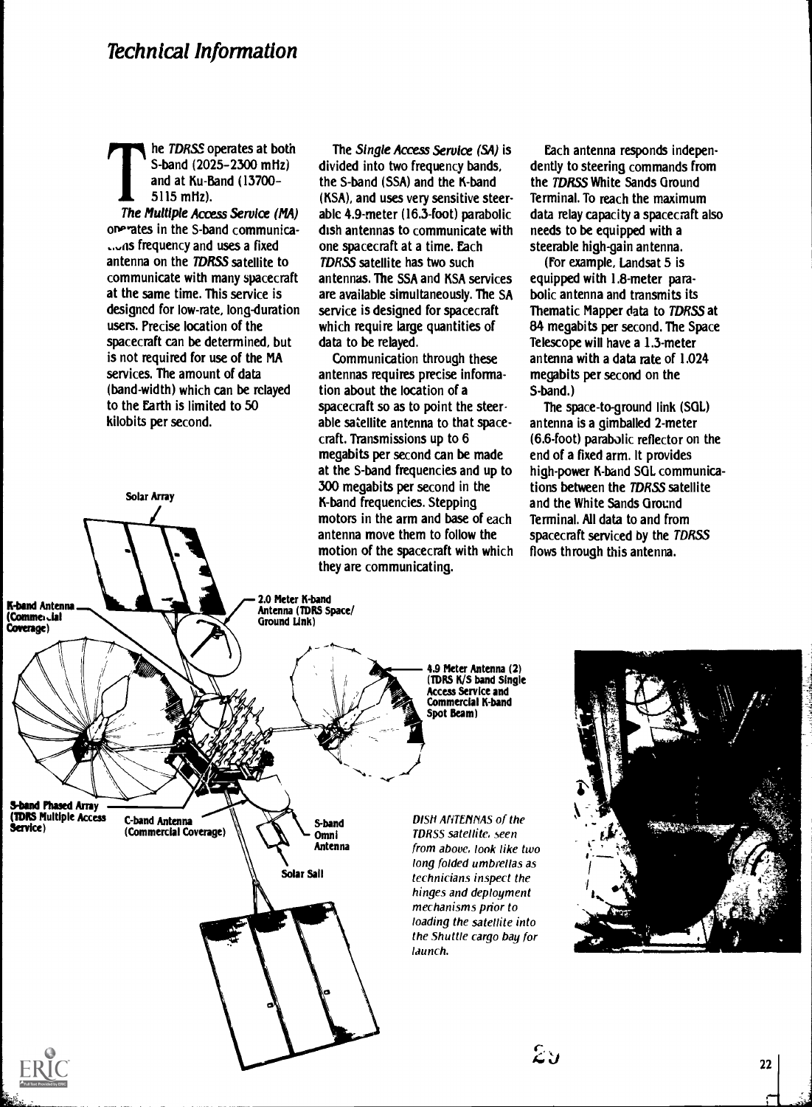he TDRSS operates at both S-band (2025-2300 mHz) and at Ku-Band (13700- 5115 mHz). The Multiple Access Service (MA) ono-ates in the S-band communica- ... as frequency and uses a fixed antenna on the TDRSS satellite to communicate with many spacecraft at the same time. This service is designed for low-rate, long-duration users. Precise location of the spacecraft can be determined, but is not required for use of the MA services. The amount of data (band-width) which can be relayed to the Earth is limited to 50 kilobits per second.

Solar Array

The Single Access Service (SA) is divided into two frequency bands, the S-band (SSA) and the K-band (KSA), and uses very sensitive steerable 4.9-meter (16.3-foot) parabolic dish antennas to communicate with one spacecraft at a time. Each TDRSS satellite has two such antennas. The SSA and KSA services are available simultaneously. The SA service is designed for spacecraft which require large quantities of data to be relayed.

Communication through these antennas requires precise information about the location of a spacecraft so as to point the steerable satellite antenna to that spacecraft. Transmissions up to 6 megabits per second can be made at the S-band frequencies and up to 300 megabits per second in the K-band frequencies. Stepping motors in the arm and base of each antenna move them to follow the motion of the spacecraft with which they are communicating.

Each antenna responds independently to steering commands from the TDRSS White Sands Ground Terminal. To reach the maximum data relay capacity a spacecraft also needs to be equipped with a steerable high-gain antenna.

(For example, Landsat 5 is equipped with 1.8-meter parabolic antenna and transmits its Thematic Mapper data to TDRSS at 84 megabits per second. The Space Telescope will have a 1.3-meter antenna with a data rate of 1.024 megabits per second on the S-band.)

The space-to-ground link (SGL) antenna is a gimballed 2-meter (6.6-foot) parabolic reflector on the end of a fixed arm. It provides high-power K-band SGL communications between the TDRSS satellite and the White Sands Ground Terminal. All data to and from spacecraft serviced by the TDRSS flows through this antenna.

![](_page_28_Figure_7.jpeg)

![](_page_28_Picture_8.jpeg)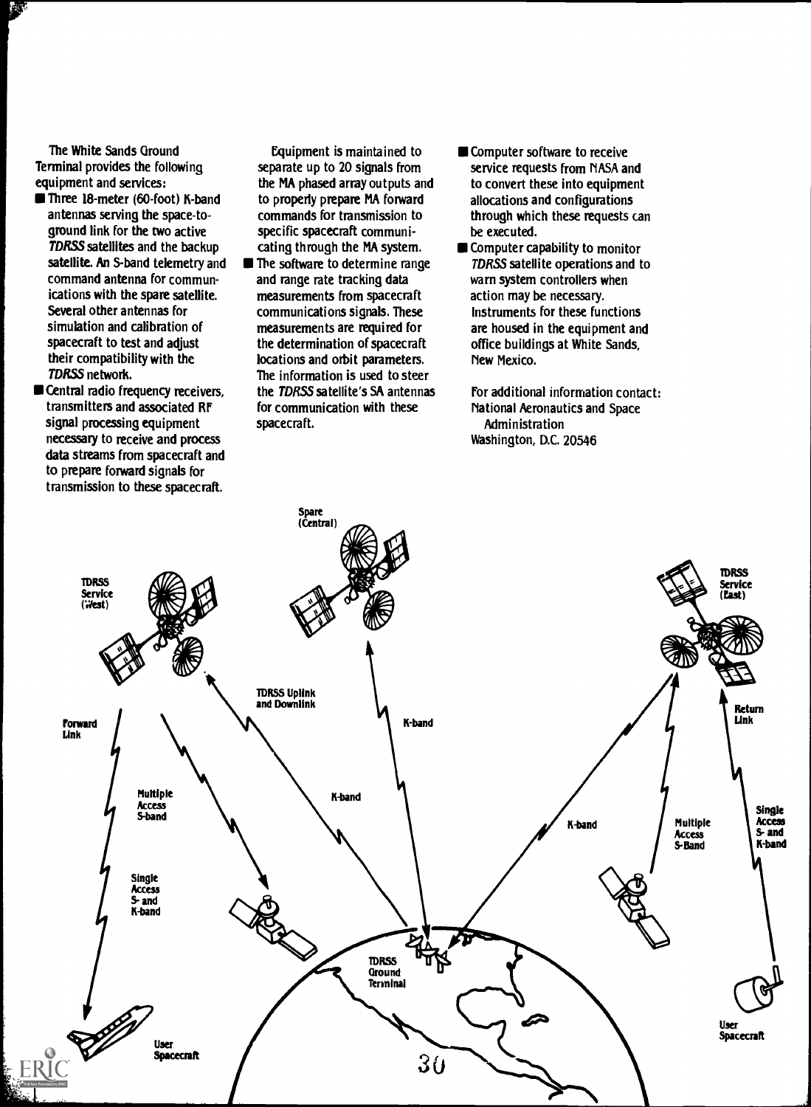The White Sands Ground Terminal provides the following equipment and services:

- Three 18-meter (60-foot) K-band antennas serving the space-toground link for the two active TDRSS satellites and the backup satellite. An S-band telemetry and command antenna for communications with the spare satellite. Several other antennas for simulation and calibration of spacecraft to test and adjust their compatibility with the TDRSS network.
- Central radio frequency receivers. transmitters and associated RF signal processing equipment necessary to receive and process data streams from spacecraft and to prepare forward signals for transmission to these spacecraft.

Equipment is maintained to separate up to 20 signals from the MA phased array outputs and to properly prepare MA forward commands for transmission to specific spacecraft communicating through the MA system.

- $\blacksquare$  The software to determine range and range rate tracking data measurements from spacecraft communications signals. These measurements are required for the determination of spacecraft locations and orbit parameters. The information is used to steer the TDRSS satellite's SA antennas for communication with these spacecraft.
- Computer software to receive service requests from NASA and to convert these into equipment allocations and configurations through which these requests can be executed.
- Computer capability to monitor TDRSS satellite operations and to warn system controllers when action may be necessary. Instruments for these functions are housed in the equipment and office buildings at White Sands, New Mexico.

For additional information contact: National Aeronautics and Space Administration Washington, D.C. 20546

![](_page_29_Figure_8.jpeg)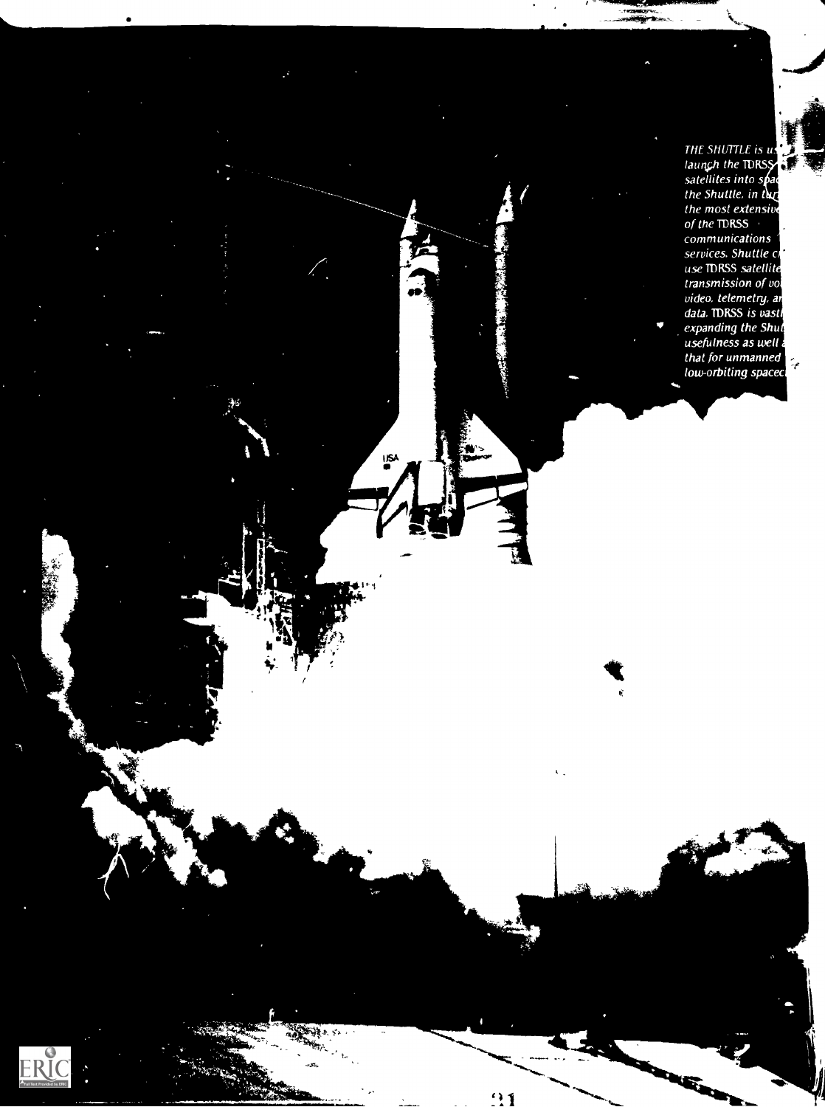![](_page_30_Picture_0.jpeg)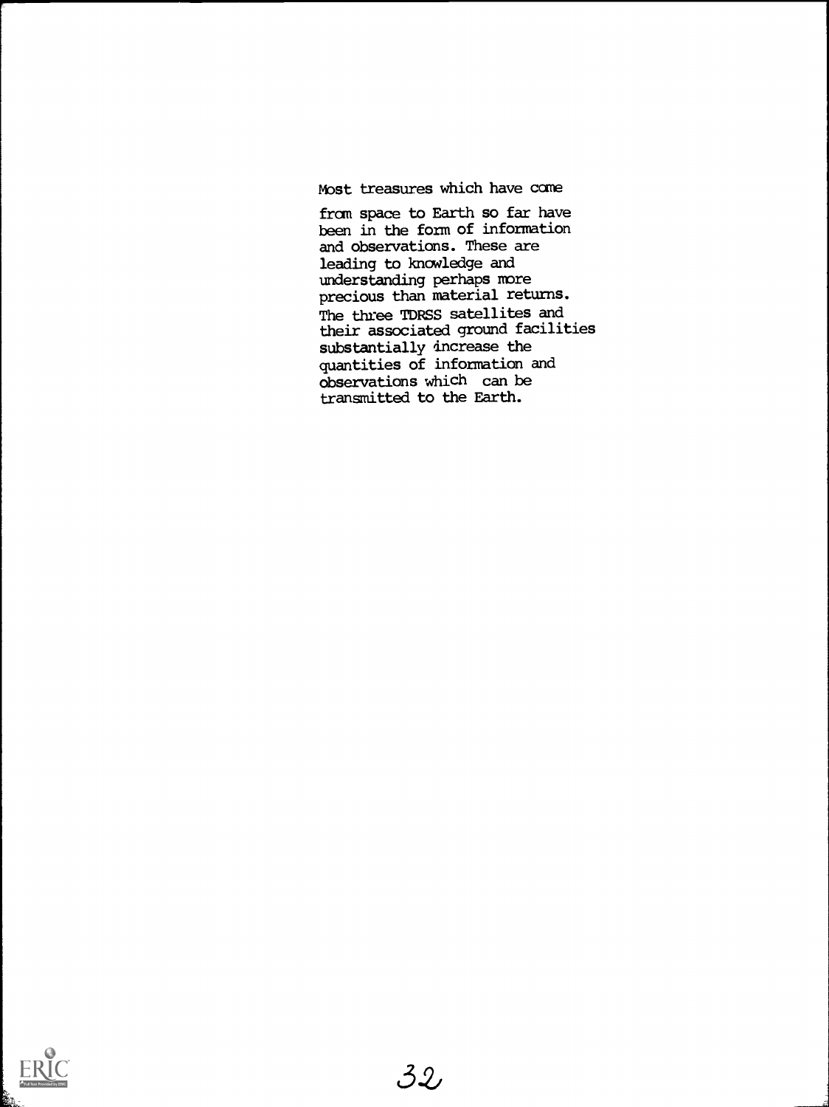Most treasures which have come

from space to Earth so far have been in the form of information and observations. These are leading to knowledge and understanding perhaps more precious than material returns. The three TDRSS satellites and their associated ground facilities substantially increase the quantities of information and observations which can be transmitted to the Earth.

![](_page_31_Picture_2.jpeg)